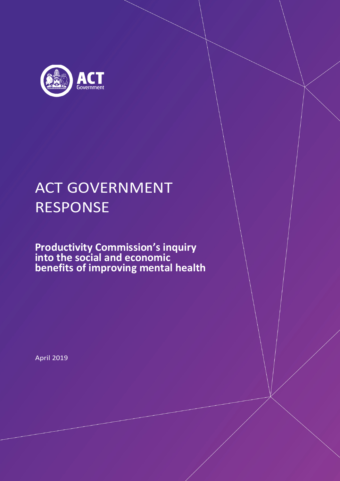

# ACT GOVERNMENT RESPONSE

**Productivity Commission's inquiry into the social and economic benefits of improving mental health**

April 2019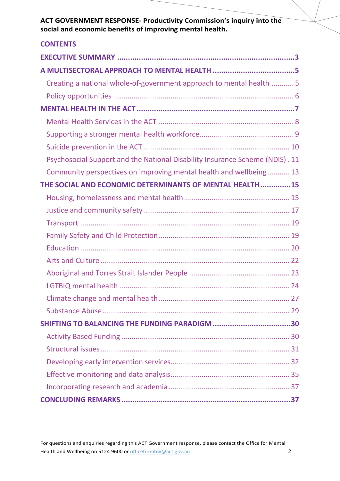| <b>CONTENTS</b>                                                              |
|------------------------------------------------------------------------------|
|                                                                              |
|                                                                              |
| Creating a national whole-of-government approach to mental health  5         |
|                                                                              |
|                                                                              |
|                                                                              |
|                                                                              |
|                                                                              |
| Psychosocial Support and the National Disability Insurance Scheme (NDIS). 11 |
| Community perspectives on improving mental health and wellbeing 13           |
| THE SOCIAL AND ECONOMIC DETERMINANTS OF MENTAL HEALTH15                      |
|                                                                              |
|                                                                              |
|                                                                              |
|                                                                              |
|                                                                              |
|                                                                              |
|                                                                              |
|                                                                              |
|                                                                              |
|                                                                              |
|                                                                              |
|                                                                              |
|                                                                              |
|                                                                              |
|                                                                              |
|                                                                              |
|                                                                              |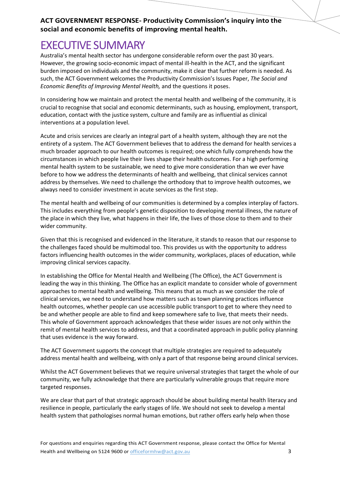## EXECUTIVE SUMMARY

Australia's mental health sector has undergone considerable reform over the past 30 years. However, the growing socio-economic impact of mental ill-health in the ACT, and the significant burden imposed on individuals and the community, make it clear that further reform is needed. As such, the ACT Government welcomes the Productivity Commission's Issues Paper, *The Social and Economic Benefits of Improving Mental Health,* and the questions it poses.

In considering how we maintain and protect the mental health and wellbeing of the community, it is crucial to recognise that social and economic determinants, such as housing, employment, transport, education, contact with the justice system, culture and family are as influential as clinical interventions at a population level.

Acute and crisis services are clearly an integral part of a health system, although they are not the entirety of a system. The ACT Government believes that to address the demand for health services a much broader approach to our health outcomes is required; one which fully comprehends how the circumstances in which people live their lives shape their health outcomes. For a high performing mental health system to be sustainable, we need to give more consideration than we ever have before to how we address the determinants of health and wellbeing, that clinical services cannot address by themselves. We need to challenge the orthodoxy that to improve health outcomes, we always need to consider investment in acute services as the first step.

The mental health and wellbeing of our communities is determined by a complex interplay of factors. This includes everything from people's genetic disposition to developing mental illness, the nature of the place in which they live, what happens in their life, the lives of those close to them and to their wider community.

Given that this is recognised and evidenced in the literature, it stands to reason that our response to the challenges faced should be multimodal too. This provides us with the opportunity to address factors influencing health outcomes in the wider community, workplaces, places of education, while improving clinical services capacity.

In establishing the Office for Mental Health and Wellbeing (The Office), the ACT Government is leading the way in this thinking. The Office has an explicit mandate to consider whole of government approaches to mental health and wellbeing. This means that as much as we consider the role of clinical services, we need to understand how matters such as town planning practices influence health outcomes, whether people can use accessible public transport to get to where they need to be and whether people are able to find and keep somewhere safe to live, that meets their needs. This whole of Government approach acknowledges that these wider issues are not only within the remit of mental health services to address, and that a coordinated approach in public policy planning that uses evidence is the way forward.

The ACT Government supports the concept that multiple strategies are required to adequately address mental health and wellbeing, with only a part of that response being around clinical services.

Whilst the ACT Government believes that we require universal strategies that target the whole of our community, we fully acknowledge that there are particularly vulnerable groups that require more targeted responses.

We are clear that part of that strategic approach should be about building mental health literacy and resilience in people, particularly the early stages of life. We should not seek to develop a mental health system that pathologises normal human emotions, but rather offers early help when those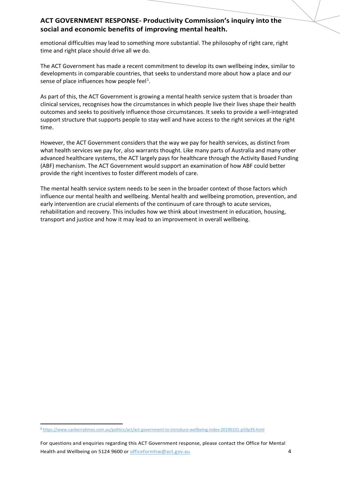emotional difficulties may lead to something more substantial. The philosophy of right care, right time and right place should drive all we do.

The ACT Government has made a recent commitment to develop its own wellbeing index, similar to developments in comparable countries, that seeks to understand more about how a place and our sense of place influences how people feel<sup>[1](#page-3-0)</sup>.

As part of this, the ACT Government is growing a mental health service system that is broader than clinical services, recognises how the circumstances in which people live their lives shape their health outcomes and seeks to positively influence those circumstances. It seeks to provide a well-integrated support structure that supports people to stay well and have access to the right services at the right time.

However, the ACT Government considers that the way we pay for health services, as distinct from what health services we pay for, also warrants thought. Like many parts of Australia and many other advanced healthcare systems, the ACT largely pays for healthcare through the Activity Based Funding (ABF) mechanism. The ACT Government would support an examination of how ABF could better provide the right incentives to foster different models of care.

The mental health service system needs to be seen in the broader context of those factors which influence our mental health and wellbeing. Mental health and wellbeing promotion, prevention, and early intervention are crucial elements of the continuum of care through to acute services, rehabilitation and recovery. This includes how we think about investment in education, housing, transport and justice and how it may lead to an improvement in overall wellbeing.

<span id="page-3-0"></span> <sup>1</sup> <https://www.canberratimes.com.au/politics/act/act-government-to-introduce-wellbeing-index-20190101-p50p39.html>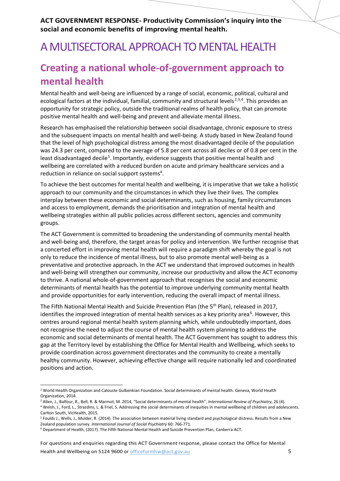## A MULTISECTORAL APPROACH TO MENTAL HEALTH

## **Creating a national whole-of-government approach to mental health**

<span id="page-4-5"></span>Mental health and well-being are influenced by a range of social, economic, political, cultural and ecological factors at the individual, familial, community and structural levels<sup>[2](#page-4-0),[3](#page-4-1),[4](#page-4-2)</sup>. This provides an opportunity for strategic policy, outside the traditional realms of health policy, that can promote positive mental health and well-being and prevent and alleviate mental illness.

Research has emphasised the relationship between social disadvantage, chronic exposure to stress and the subsequent impacts on mental health and well-being. A study based in New Zealand found that the level of high psychological distress among the most disadvantaged decile of the population was 24.3 per cent, compared to the average of 5.8 per cent across all deciles or of 0.8 per cent in the least disadvantaged decile<sup>[5](#page-4-3)</sup>. Importantly, evidence suggests that positive mental health and wellbeing are correlated with a reduced burden on acute and primary healthcare services and a reduction in reliance on social support systems<sup>4</sup>.

To achieve the best outcomes for mental health and wellbeing, it is imperative that we take a holistic approach to our community and the circumstances in which they live their lives. The complex interplay between these economic and social determinants, such as housing, family circumstances and access to employment, demands the prioritisation and integration of mental health and wellbeing strategies within all public policies across different sectors, agencies and community groups.

The ACT Government is committed to broadening the understanding of community mental health and well-being and, therefore, the target areas for policy and intervention. We further recognise that a concerted effort in improving mental health will require a paradigm shift whereby the goal is not only to reduce the incidence of mental illness, but to also promote mental well-being as a preventative and protective approach. In the ACT we understand that improved outcomes in health and well-being will strengthen our community, increase our productivity and allow the ACT economy to thrive. A national whole-of-government approach that recognises the social and economic determinants of mental health has the potential to improve underlying community mental health and provide opportunities for early intervention, reducing the overall impact of mental illness.

The Fifth National Mental Health and Suicide Prevention Plan (the 5<sup>th</sup> Plan), released in 2017, identifies the improved integration of mental health services as a key priority area<sup>[6](#page-4-4)</sup>. However, this centres around regional mental health system planning which, while undoubtedly important, does not recognise the need to adjust the course of mental health system planning to address the economic and social determinants of mental health. The ACT Government has sought to address this gap at the Territory level by establishing the Office for Mental Health and Wellbeing, which seeks to provide coordination across government directorates and the community to create a mentally healthy community. However, achieving effective change will require nationally led and coordinated positions and action.

For questions and enquiries regarding this ACT Government response, please contact the Office for Mental Health and Wellbeing on 5124 9600 or [officeformhw@act.gov.au](mailto:officeformhw@act.gov.au) 5

<span id="page-4-0"></span><sup>&</sup>lt;sup>2</sup> World Health Organization and Calouste Gulbenkian Foundation. Social determinants of mental health. Geneva, World Health Organization, 2014.

<sup>3</sup> Allen, J., Balfour, R., Bell, R. & Marmot, M. 2014, "Social determinants of mental health", *International Review of Psychiatry*, 26 (4).

<span id="page-4-2"></span><span id="page-4-1"></span><sup>4</sup> Welsh, J., Ford, L., Strazdins, L. & Friel, S. Addressing the social determinants of inequities in mental wellbeing of children and adolescents. Carlton South, VicHealth, 2015.

<span id="page-4-3"></span><sup>5</sup> Foulds J., Wells, J., Mulder, R. (2014). The association between material living standard and psychological distress. Results from a New Zealand population survey. *International Journal of Social Psychiatry* 60: 766-771.

<span id="page-4-4"></span><sup>6</sup> Department of Health, (2017). The Fifth National Mental Health and Suicide Prevention Plan, Canberra ACT.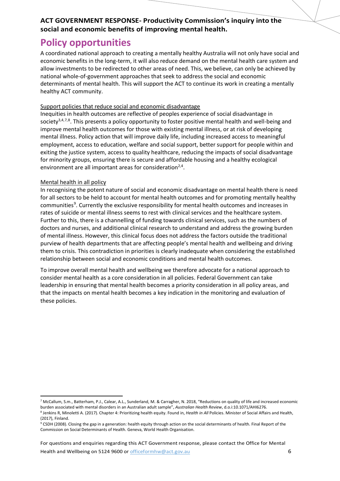### **Policy opportunities**

A coordinated national approach to creating a mentally healthy Australia will not only have social and economic benefits in the long-term, it will also reduce demand on the mental health care system and allow investments to be redirected to other areas of need. This, we believe, can only be achieved by national whole-of-government approaches that seek to address the social and economic determinants of mental health. This will support the ACT to continue its work in creating a mentally healthy ACT community.

#### Support policies that reduce social and economic disadvantage

Inequities in health outcomes are reflective of peoples experience of social disadvantage in society<sup>3,4,[7,](#page-5-0)[8](#page-5-1)</sup>. This presents a policy opportunity to foster positive mental health and well-being and improve mental health outcomes for those with existing mental illness, or at risk of developing mental illness. Policy action that will improve daily life, including increased access to meaningful employment, access to education, welfare and social support, better support for people within and exiting the justice system, access to quality healthcare, reducing the impacts of social disadvantage for minority groups, ensuring there is secure and affordable housing and a healthy ecological environment are all important areas for consideration $2,4$ .

#### Mental health in all policy

In recognising the potent nature of social and economic disadvantage on mental health there is need for all sectors to be held to account for mental health outcomes and for promoting mentally healthy communities<sup>[9](#page-5-2)</sup>. Currently the exclusive responsibility for mental health outcomes and increases in rates of suicide or mental illness seems to rest with clinical services and the healthcare system. Further to this, there is a channelling of funding towards clinical services, such as the numbers of doctors and nurses, and additional clinical research to understand and address the growing burden of mental illness. However, this clinical focus does not address the factors outside the traditional purview of health departments that are affecting people's mental health and wellbeing and driving them to crisis. This contradiction in priorities is clearly inadequate when considering the established relationship between social and economic conditions and mental health outcomes.

To improve overall mental health and wellbeing we therefore advocate for a national approach to consider mental health as a core consideration in all policies. Federal Government can take leadership in ensuring that mental health becomes a priority consideration in all policy areas, and that the impacts on mental health becomes a key indication in the monitoring and evaluation of these policies.

For questions and enquiries regarding this ACT Government response, please contact the Office for Mental Health and Wellbeing on 5124 9600 or [officeformhw@act.gov.au](mailto:officeformhw@act.gov.au) 6

<span id="page-5-0"></span> <sup>7</sup> McCallum, S.m., Batterham, P.J., Calear, A.L., Sunderland, M. & Carragher, N. 2018, "Reductions on quality of life and increased economic

<span id="page-5-1"></span>burden associated with mental disorders in an Australian adult sample", Australian Health Review, d.o.i:10.1071/AHI6276.<br><sup>8</sup> Jenkins R, Minoletti A. (2017). Chapter 4: Prioritizing health equity. Found in, Health in All Po (2017), Finland.

<span id="page-5-2"></span><sup>&</sup>lt;sup>9</sup> CSDH (2008). Closing the gap in a generation: health equity through action on the social determinants of health. Final Report of the Commission on Social Determinants of Health. Geneva, World Health Organisation.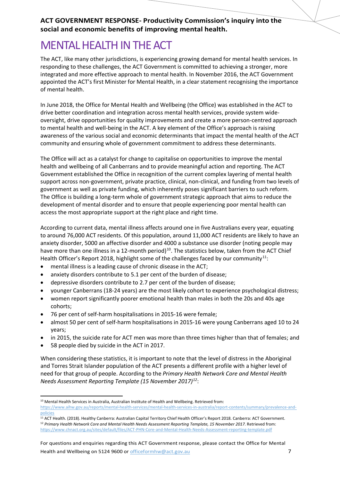## MENTAL HEALTH IN THE ACT

The ACT, like many other jurisdictions, is experiencing growing demand for mental health services. In responding to these challenges, the ACT Government is committed to achieving a stronger, more integrated and more effective approach to mental health. In November 2016, the ACT Government appointed the ACT's first Minister for Mental Health, in a clear statement recognising the importance of mental health.

In June 2018, the Office for Mental Health and Wellbeing (the Office) was established in the ACT to drive better coordination and integration across mental health services, provide system wideoversight, drive opportunities for quality improvements and create a more person-centred approach to mental health and well-being in the ACT. A key element of the Office's approach is raising awareness of the various social and economic determinants that impact the mental health of the ACT community and ensuring whole of government commitment to address these determinants.

The Office will act as a catalyst for change to capitalise on opportunities to improve the mental health and wellbeing of all Canberrans and to provide meaningful action and reporting. The ACT Government established the Office in recognition of the current complex layering of mental health support across non-government, private practice, clinical, non-clinical, and funding from two levels of government as well as private funding, which inherently poses significant barriers to such reform. The Office is building a long-term whole of government strategic approach that aims to reduce the development of mental disorder and to ensure that people experiencing poor mental health can access the most appropriate support at the right place and right time.

According to current data, mental illness affects around one in five Australians every year, equating to around 76,000 ACT residents. Of this population, around 11,000 ACT residents are likely to have an anxiety disorder, 5000 an affective disorder and 4000 a substance use disorder (noting people may have more than one illness in a 12-month period)<sup>[10](#page-6-0)</sup>. The statistics below, taken from the ACT Chief Health Officer's Report 2018, highlight some of the challenges faced by our community<sup>[11](#page-6-1)</sup>:

- mental illness is a leading cause of chronic disease in the ACT;
- anxiety disorders contribute to 5.1 per cent of the burden of disease;
- depressive disorders contribute to 2.7 per cent of the burden of disease;
- younger Canberrans (18-24 years) are the most likely cohort to experience psychological distress;
- women report significantly poorer emotional health than males in both the 20s and 40s age cohorts;
- 76 per cent of self-harm hospitalisations in 2015-16 were female;
- almost 50 per cent of self-harm hospitalisations in 2015-16 were young Canberrans aged 10 to 24 years;
- in 2015, the suicide rate for ACT men was more than three times higher than that of females; and
- 58 people died by suicide in the ACT in 2017.

When considering these statistics, it is important to note that the level of distress in the Aboriginal and Torres Strait Islander population of the ACT presents a different profile with a higher level of need for that group of people. According to the *Primary Health Network Core and Mental Health Needs Assessment Reporting Template (15 November 2017)[12](#page-6-2)*:

<span id="page-6-0"></span><sup>&</sup>lt;sup>10</sup> Mental Health Services in Australia, Australian Institute of Health and Wellbeing. Retrieved from:

[https://www.aihw.gov.au/reports/mental-health-services/mental-health-services-in-australia/report-contents/summary/prevalence-and](https://www.aihw.gov.au/reports/mental-health-services/mental-health-services-in-australia/report-contents/summary/prevalence-and-policies)[policies](https://www.aihw.gov.au/reports/mental-health-services/mental-health-services-in-australia/report-contents/summary/prevalence-and-policies)

<span id="page-6-2"></span><span id="page-6-1"></span><sup>&</sup>lt;sup>11</sup> ACT Health. (2018). Healthy Canberra: Australian Capital Territory Chief Health Officer's Report 2018. Canberra: ACT Government. <sup>12</sup> *Primary Health Network Core and Mental Health Needs Assessment Reporting Template, 15 November 2017*. Retrieved from: <https://www.chnact.org.au/sites/default/files/ACT-PHN-Core-and-Mental-Health-Needs-Assessment-reporting-template.pdf>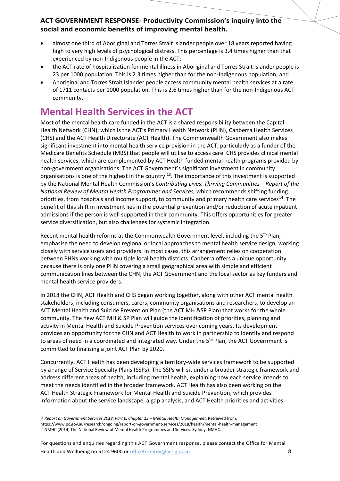- almost one third of Aboriginal and Torres Strait Islander people over 18 years reported having high to very high levels of psychological distress. This percentage is 3.4 times higher than that experienced by non-Indigenous people in the ACT;
- the ACT rate of hospitalisation for mental illness in Aboriginal and Torres Strait Islander people is 23 per 1000 population. This is 2.3 times higher than for the non-Indigenous population; and
- Aboriginal and Torres Strait Islander people access community mental health services at a rate of 1711 contacts per 1000 population. This is 2.6 times higher than for the non-Indigenous ACT community.

## **Mental Health Services in the ACT**

Most of the mental health care funded in the ACT is a shared responsibility between the Capital Health Network (CHN), which is the ACT's Primary Health Network (PHN), Canberra Health Services (CHS) and the ACT Health Directorate (ACT Health). The Commonwealth Government also makes significant investment into mental health service provision in the ACT, particularly as a funder of the Medicare Benefits Schedule (MBS) that people will utilise to access care. CHS provides clinical mental health services, which are complemented by ACT Health funded mental health programs provided by non-government organisations. The ACT Government's significant investment in community organisations is one of the highest in the country  $^{13}$  $^{13}$  $^{13}$ . The importance of this investment is supported by the National Mental Health Commission's *Contributing Lives, Thriving Communities – Report of the National Review of Mental Health Programmes and Services,* which recommends shifting funding priorities, from hospitals and income support, to community and primary health care services<sup>[14](#page-7-1)</sup>. The benefit of this shift in investment lies in the potential prevention and/or reduction of acute inpatient admissions if the person is well supported in their community. This offers opportunities for greater service diversification, but also challenges for systemic integration.

<span id="page-7-2"></span>Recent mental health reforms at the Commonwealth Government level, including the 5th Plan, emphasise the need to develop regional or local approaches to mental health service design, working closely with service users and providers. In most cases, this arrangement relies on cooperation between PHNs working with multiple local health districts. Canberra offers a unique opportunity because there is only one PHN covering a small geographical area with simple and efficient communication lines between the CHN, the ACT Government and the local sector as key funders and mental health service providers.

In 2018 the CHN, ACT Health and CHS began working together, along with other ACT mental health stakeholders, including consumers, carers, community organisations and researchers, to develop an ACT Mental Health and Suicide Prevention Plan (the ACT MH &SP Plan) that works for the whole community. The new ACT MH & SP Plan will guide the identification of priorities, planning and activity in Mental Health and Suicide Prevention services over coming years. Its development provides an opportunity for the CHN and ACT Health to work in partnership to identify and respond to areas of need in a coordinated and integrated way. Under the 5<sup>th</sup> Plan, the ACT Government is committed to finalising a joint ACT Plan by 2020.

Concurrently, ACT Health has been developing a territory-wide services framework to be supported by a range of Service Specialty Plans (SSPs). The SSPs will sit under a broader strategic framework and address different areas of health, including mental health, explaining how each service intends to meet the needs identified in the broader framework. ACT Health has also been working on the ACT Health Strategic Framework for Mental Health and Suicide Prevention, which provides information about the service landscape, a gap analysis, and ACT Health priorities and activities

For questions and enquiries regarding this ACT Government response, please contact the Office for Mental Health and Wellbeing on 5124 9600 or [officeformhw@act.gov.au](mailto:officeformhw@act.gov.au) 8

<span id="page-7-1"></span><span id="page-7-0"></span> <sup>13</sup> *Report on Government Services 2018*, *Part E, Chapter 13 – Mental Health Management*. Retrieved from: https://www.pc.gov.au/research/ongoing/report-on-government-services/2018/health/mental-health-management <sup>14</sup> NMHC (2014) The National Review of Mental Health Programmes and Services. Sydney: NMHC.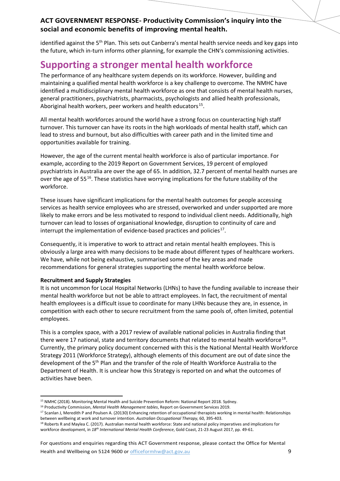identified against the 5<sup>th</sup> Plan. This sets out Canberra's mental health service needs and key gaps into the future, which in-turn informs other planning, for example the CHN's commissioning activities.

## **Supporting a stronger mental health workforce**

The performance of any healthcare system depends on its workforce. However, building and maintaining a qualified mental health workforce is a key challenge to overcome. The NMHC have identified a multidisciplinary mental health workforce as one that consists of mental health nurses, general practitioners, psychiatrists, pharmacists, psychologists and allied health professionals, Aboriginal health workers, peer workers and health educators $^{15}$  $^{15}$  $^{15}$ .

All mental health workforces around the world have a strong focus on counteracting high staff turnover. This turnover can have its roots in the high workloads of mental health staff, which can lead to stress and burnout, but also difficulties with career path and in the limited time and opportunities available for training.

However, the age of the current mental health workforce is also of particular importance. For example, according to the 2019 Report on Government Services, 19 percent of employed psychiatrists in Australia are over the age of 65. In addition, 32.7 percent of mental health nurses are over the age of 55<sup>16</sup>. These statistics have worrying implications for the future stability of the workforce.

These issues have significant implications for the mental health outcomes for people accessing services as health service employees who are stressed, overworked and under supported are more likely to make errors and be less motivated to respond to individual client needs. Additionally, high turnover can lead to losses of organisational knowledge, disruption to continuity of care and interrupt the implementation of evidence-based practices and policies $17$ .

Consequently, it is imperative to work to attract and retain mental health employees. This is obviously a large area with many decisions to be made about different types of healthcare workers. We have, while not being exhaustive, summarised some of the key areas and made recommendations for general strategies supporting the mental health workforce below.

#### **Recruitment and Supply Strategies**

It is not uncommon for Local Hospital Networks (LHNs) to have the funding available to increase their mental health workforce but not be able to attract employees. In fact, the recruitment of mental health employees is a difficult issue to coordinate for many LHNs because they are, in essence, in competition with each other to secure recruitment from the same pools of, often limited, potential employees.

<span id="page-8-4"></span>This is a complex space, with a 2017 review of available national policies in Australia finding that there were 17 national, state and territory documents that related to mental health workforce<sup>18</sup>. Currently, the primary policy document concerned with this is the National Mental Health Workforce Strategy 2011 (Workforce Strategy), although elements of this document are out of date since the development of the 5<sup>th</sup> Plan and the transfer of the role of Health Workforce Australia to the Department of Health. It is unclear how this Strategy is reported on and what the outcomes of activities have been.

For questions and enquiries regarding this ACT Government response, please contact the Office for Mental Health and Wellbeing on 5124 9600 or [officeformhw@act.gov.au](mailto:officeformhw@act.gov.au) 9

 <sup>15</sup> NMHC (2018). Monitoring Mental Health and Suicide Prevention Reform: National Report 2018. Sydney.

<span id="page-8-2"></span><span id="page-8-1"></span><span id="page-8-0"></span><sup>16</sup> Productivity Commission, *Mental Health Management tables*, Report on Government Services 2019.

<sup>&</sup>lt;sup>17</sup> Scanlan J, Meredith P and Poulsen A. (20130) Enhancing retention of occupational therapists working in mental health: Relationships

<span id="page-8-3"></span>between wellbeing at work and turnover intention. Australian Occupational Therapy, 60, 395-403.<br><sup>18</sup> Roberts R and Maylea C. (2017). Australian mental health workforce: State and national policy imperatives and implication workforce development, in *18th International Mental Health Conference*, Gold Coast, 21-23 August 2017, pp. 49-61.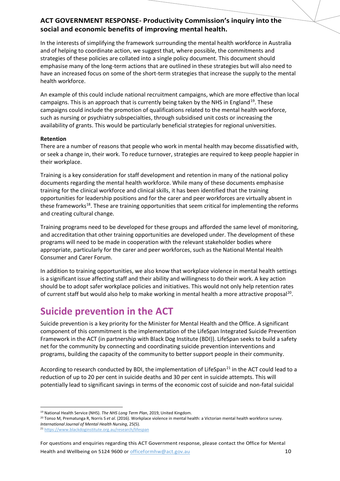In the interests of simplifying the framework surrounding the mental health workforce in Australia and of helping to coordinate action, we suggest that, where possible, the commitments and strategies of these policies are collated into a single policy document. This document should emphasise many of the long-term actions that are outlined in these strategies but will also need to have an increased focus on some of the short-term strategies that increase the supply to the mental health workforce.

An example of this could include national recruitment campaigns, which are more effective than local campaigns. This is an approach that is currently being taken by the NHS in England<sup>[19](#page-9-0)</sup>. These campaigns could include the promotion of qualifications related to the mental health workforce, such as nursing or psychiatry subspecialties, through subsidised unit costs or increasing the availability of grants. This would be particularly beneficial strategies for regional universities.

#### **Retention**

There are a number of reasons that people who work in mental health may become dissatisfied with, or seek a change in, their work. To reduce turnover, strategies are required to keep people happier in their workplace.

Training is a key consideration for staff development and retention in many of the national policy documents regarding the mental health workforce. While many of these documents emphasise training for the clinical workforce and clinical skills, it has been identified that the training opportunities for leadership positions and for the carer and peer workforces are virtually absent in these frameworks<sup>18</sup>. These are training opportunities that seem critical for implementing the reforms and creating cultural change.

Training programs need to be developed for these groups and afforded the same level of monitoring, and accreditation that other training opportunities are developed under. The development of these programs will need to be made in cooperation with the relevant stakeholder bodies where appropriate, particularly for the carer and peer workforces, such as the National Mental Health Consumer and Carer Forum.

In addition to training opportunities, we also know that workplace violence in mental health settings is a significant issue affecting staff and their ability and willingness to do their work. A key action should be to adopt safer workplace policies and initiatives. This would not only help retention rates of current staff but would also help to make working in mental health a more attractive proposal<sup>20</sup>.

### **Suicide prevention in the ACT**

Suicide prevention is a key priority for the Minister for Mental Health and the Office. A significant component of this commitment is the implementation of the LifeSpan Integrated Suicide Prevention Framework in the ACT (in partnership with Black Dog Institute (BDI)). LifeSpan seeks to build a safety net for the community by connecting and coordinating suicide prevention interventions and programs, building the capacity of the community to better support people in their community.

According to research conducted by BDI, the implementation of LifeSpan<sup>[21](#page-9-2)</sup> in the ACT could lead to a reduction of up to 20 per cent in suicide deaths and 30 per cent in suicide attempts. This will potentially lead to significant savings in terms of the economic cost of suicide and non-fatal suicidal

<span id="page-9-1"></span><span id="page-9-0"></span><sup>20</sup> Tonso M, Prematunga R, Norris S *et al*. (2016). Workplace violence in mental health: a Victorian mental health workforce survey. *International Journal of Mental Health Nursing*, 25(5).

<span id="page-9-2"></span><sup>21</sup> <https://www.blackdoginstitute.org.au/research/lifespan>

For questions and enquiries regarding this ACT Government response, please contact the Office for Mental Health and Wellbeing on 5124 9600 or [officeformhw@act.gov.au](mailto:officeformhw@act.gov.au) 10

 <sup>19</sup> National Health Service (NHS). *The NHS Long Term Plan*, 2019, United Kingdom.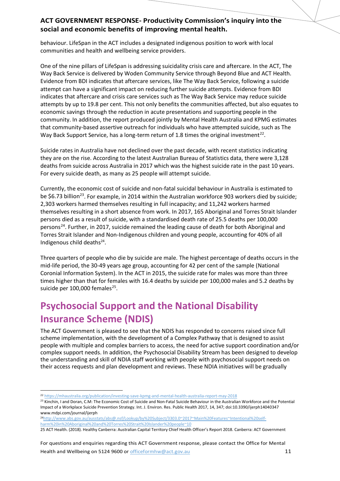behaviour. LifeSpan in the ACT includes a designated indigenous position to work with local communities and health and wellbeing service providers.

One of the nine pillars of LifeSpan is addressing suicidality crisis care and aftercare. In the ACT, The Way Back Service is delivered by Woden Community Service through Beyond Blue and ACT Health. Evidence from BDI indicates that aftercare services, like The Way Back Service, following a suicide attempt can have a significant impact on reducing further suicide attempts. Evidence from BDI indicates that aftercare and crisis care services such as The Way Back Service may reduce suicide attempts by up to 19.8 per cent. This not only benefits the communities affected, but also equates to economic savings through the reduction in acute presentations and supporting people in the community. In addition, the report produced jointly by Mental Health Australia and KPMG estimates that community-based assertive outreach for individuals who have attempted suicide, such as The Way Back Support Service, has a long-term return of 1.8 times the original investment<sup>[22](#page-10-1)</sup>.

Suicide rates in Australia have not declined over the past decade, with recent statistics indicating they are on the rise. According to the latest Australian Bureau of Statistics data, there were 3,128 deaths from suicide across Australia in 2017 which was the highest suicide rate in the past 10 years. For every suicide death, as many as 25 people will attempt suicide.

Currently, the economic cost of suicide and non-fatal suicidal behaviour in Australia is estimated to be \$6.73 billion<sup>[23](#page-10-2)</sup>. For example, in 2014 within the Australian workforce 903 workers died by suicide; 2,303 workers harmed themselves resulting in full incapacity; and 11,242 workers harmed themselves resulting in a short absence from work. In 2017, 165 Aboriginal and Torres Strait Islander persons died as a result of suicide, with a standardised death rate of 25.5 deaths per 100,000 persons<sup>24</sup>. Further, in 2017, suicide remained the leading cause of death for both Aboriginal and Torres Strait Islander and Non-Indigenous children and young people, accounting for 40% of all Indigenous child deaths<sup>24</sup>.

<span id="page-10-0"></span>Three quarters of people who die by suicide are male. The highest percentage of deaths occurs in the mid-life period, the 30-49 years age group, accounting for 42 per cent of the sample (National Coronial Information System). In the ACT in 2015, the suicide rate for males was more than three times higher than that for females with 16.4 deaths by suicide per 100,000 males and 5.2 deaths by suicide per 100,000 females $^{25}$  $^{25}$  $^{25}$ .

## **Psychosocial Support and the National Disability Insurance Scheme (NDIS)**

The ACT Government is pleased to see that the NDIS has responded to concerns raised since full scheme implementation, with the development of a Complex Pathway that is designed to assist people with multiple and complex barriers to access, the need for active support coordination and/or complex support needs. In addition, the Psychosocial Disability Stream has been designed to develop the understanding and skill of NDIA staff working with people with psychosocial support needs on their access requests and plan development and reviews. These NDIA initiatives will be gradually

For questions and enquiries regarding this ACT Government response, please contact the Office for Mental Health and Wellbeing on 5124 9600 or [officeformhw@act.gov.au](mailto:officeformhw@act.gov.au) 11

<span id="page-10-1"></span> <sup>22</sup> <https://mhaustralia.org/publication/investing-save-kpmg-and-mental-health-australia-report-may-2018>

<span id="page-10-2"></span><sup>&</sup>lt;sup>23</sup> Kinchin, I and Doran, C.M: The Economic Cost of Suicide and Non-Fatal Suicide Behaviour in the Australian Workforce and the Potential Impact of a Workplace Suicide Prevention Strategy. Int. J. Environ. Res. Public Health 2017, 14, 347; doi:10.3390/ijerph14040347 www.mdpi.com/journal/ijerph

<span id="page-10-3"></span><sup>2</sup>[4http://www.abs.gov.au/ausstats/abs@.nsf/Lookup/by%20Subject/3303.0~2017~Main%20Features~Intentional%20self](http://www.abs.gov.au/ausstats/abs@.nsf/Lookup/by%20Subject/3303.0%7E2017%7EMain%20Features%7EIntentional%20self-harm%20in%20Aboriginal%20and%20Torres%20Strait%20Islander%20people%7E10)[harm%20in%20Aboriginal%20and%20Torres%20Strait%20Islander%20people~10](http://www.abs.gov.au/ausstats/abs@.nsf/Lookup/by%20Subject/3303.0%7E2017%7EMain%20Features%7EIntentional%20self-harm%20in%20Aboriginal%20and%20Torres%20Strait%20Islander%20people%7E10)

<span id="page-10-4"></span><sup>25</sup> ACT Health. (2018). Healthy Canberra: Australian Capital Territory Chief Health Officer's Report 2018. Canberra: ACT Government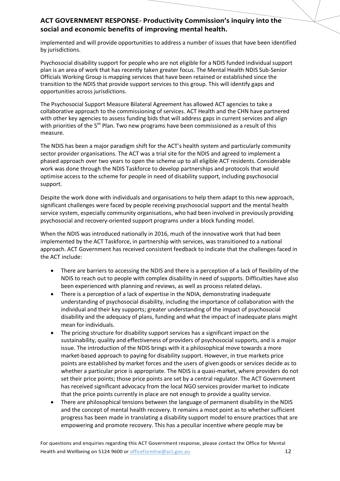implemented and will provide opportunities to address a number of issues that have been identified by jurisdictions.

Psychosocial disability support for people who are not eligible for a NDIS funded individual support plan is an area of work that has recently taken greater focus. The Mental Health NDIS Sub-Senior Officials Working Group is mapping services that have been retained or established since the transition to the NDIS that provide support services to this group. This will identify gaps and opportunities across jurisdictions.

The Psychosocial Support Measure Bilateral Agreement has allowed ACT agencies to take a collaborative approach to the commissioning of services. ACT Health and the CHN have partnered with other key agencies to assess funding bids that will address gaps in current services and align with priorities of the  $5<sup>th</sup>$  Plan. Two new programs have been commissioned as a result of this measure.

The NDIS has been a major paradigm shift for the ACT's health system and particularly community sector provider organisations. The ACT was a trial site for the NDIS and agreed to implement a phased approach over two years to open the scheme up to all eligible ACT residents. Considerable work was done through the NDIS Taskforce to develop partnerships and protocols that would optimise access to the scheme for people in need of disability support, including psychosocial support.

Despite the work done with individuals and organisations to help them adapt to this new approach, significant challenges were faced by people receiving psychosocial support and the mental health service system, especially community organisations, who had been involved in previously providing psychosocial and recovery-oriented support programs under a block funding model.

When the NDIS was introduced nationally in 2016, much of the innovative work that had been implemented by the ACT Taskforce, in partnership with services, was transitioned to a national approach. ACT Government has received consistent feedback to indicate that the challenges faced in the ACT include:

- There are barriers to accessing the NDIS and there is a perception of a lack of flexibility of the NDIS to reach out to people with complex disability in need of supports. Difficulties have also been experienced with planning and reviews, as well as process related delays.
- There is a perception of a lack of expertise in the NDIA, demonstrating inadequate understanding of psychosocial disability, including the importance of collaboration with the individual and their key supports; greater understanding of the impact of psychosocial disability and the adequacy of plans, funding and what the impact of inadequate plans might mean for individuals.
- The pricing structure for disability support services has a significant impact on the sustainability, quality and effectiveness of providers of psychosocial supports, and is a major issue. The introduction of the NDIS brings with it a philosophical move towards a more market-based approach to paying for disability support. However, in true markets price points are established by market forces and the users of given goods or services decide as to whether a particular price is appropriate. The NDIS is a quasi-market, where providers do not set their price points; those price points are set by a central regulator. The ACT Government has received significant advocacy from the local NGO services provider market to indicate that the price points currently in place are not enough to provide a quality service.
- There are philosophical tensions between the language of permanent disability in the NDIS and the concept of mental health recovery. It remains a moot point as to whether sufficient progress has been made in translating a disability support model to ensure practices that are empowering and promote recovery. This has a peculiar incentive where people may be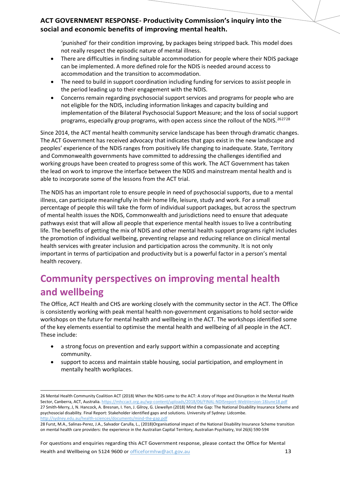'punished' for their condition improving, by packages being stripped back. This model does not really respect the episodic nature of mental illness.

- There are difficulties in finding suitable accommodation for people where their NDIS package can be implemented. A more defined role for the NDIS is needed around access to accommodation and the transition to accommodation.
- The need to build in support coordination including funding for services to assist people in the period leading up to their engagement with the NDIS.
- Concerns remain regarding psychosocial support services and programs for people who are not eligible for the NDIS, including information linkages and capacity building and implementation of the Bilateral Psychosocial Support Measure; and the loss of social support programs, especially group programs, with open access since the rollout of the NDIS.<sup>[26](#page-12-0)[27](#page-12-1)[28](#page-12-2)</sup>

Since 2014, the ACT mental health community service landscape has been through dramatic changes. The ACT Government has received advocacy that indicates that gaps exist in the new landscape and peoples' experience of the NDIS ranges from positively life changing to inadequate. State, Territory and Commonwealth governments have committed to addressing the challenges identified and working groups have been created to progress some of this work. The ACT Government has taken the lead on work to improve the interface between the NDIS and mainstream mental health and is able to incorporate some of the lessons from the ACT trial.

The NDIS has an important role to ensure people in need of psychosocial supports, due to a mental illness, can participate meaningfully in their home life, leisure, study and work. For a small percentage of people this will take the form of individual support packages, but across the spectrum of mental health issues the NDIS, Commonwealth and jurisdictions need to ensure that adequate pathways exist that will allow all people that experience mental health issues to live a contributing life. The benefits of getting the mix of NDIS and other mental health support programs right includes the promotion of individual wellbeing, preventing relapse and reducing reliance on clinical mental health services with greater inclusion and participation across the community. It is not only important in terms of participation and productivity but is a powerful factor in a person's mental health recovery.

## **Community perspectives on improving mental health and wellbeing**

The Office, ACT Health and CHS are working closely with the community sector in the ACT. The Office is consistently working with peak mental health non-government organisations to hold sector-wide workshops on the future for mental health and wellbeing in the ACT. The workshops identified some of the key elements essential to optimise the mental health and wellbeing of all people in the ACT. These include:

- a strong focus on prevention and early support within a compassionate and accepting community.
- support to access and maintain stable housing, social participation, and employment in mentally health workplaces.

For questions and enquiries regarding this ACT Government response, please contact the Office for Mental Health and Wellbeing on 5124 9600 or [officeformhw@act.gov.au](mailto:officeformhw@act.gov.au) 13

<span id="page-12-1"></span><span id="page-12-0"></span> <sup>26</sup> Mental Health Community Coalition ACT (2018) When the NDIS came to the ACT: A story of Hope and Disruption in the Mental Health Sector, Canberra, ACT, Australia. <https://mhccact.org.au/wp-content/uploads/2018/06/FINAL-NDISreport-WebVersion-18June18.pdf> 27 Smith-Merry, J, N. Hancock, A. Bresnan, I. Yen, J. Gilroy, G. Llewellyn (2018) Mind the Gap: The National Disability Insurance Scheme and psychosocial disability. Final Report: Stakeholder identified gaps and solutions. University of Sydney: Lidcombe. <http://sydney.edu.au/health-sciences/documents/mind-the-gap.pdf>

<span id="page-12-2"></span><sup>28</sup> Furst, M.A., Salinas-Perez, J.A., Salvador Carulla, L., (2018)Organisational impact of the National Disability Insurance Scheme transition on mental health care providers: the experience in the Australian Capital Territory, Australian Psychiatry, Vol 26(6) 590-594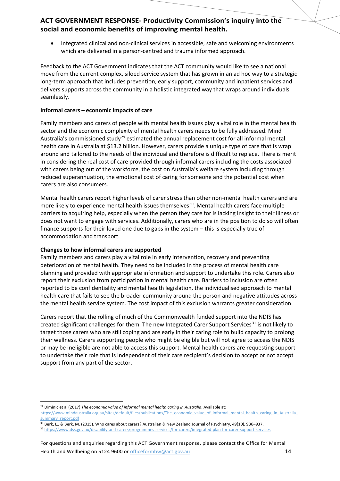• Integrated clinical and non-clinical services in accessible, safe and welcoming environments which are delivered in a person-centred and trauma informed approach.

Feedback to the ACT Government indicates that the ACT community would like to see a national move from the current complex, siloed service system that has grown in an ad hoc way to a strategic long-term approach that includes prevention, early support, community and inpatient services and delivers supports across the community in a holistic integrated way that wraps around individuals seamlessly.

#### **Informal carers – economic impacts of care**

Family members and carers of people with mental health issues play a vital role in the mental health sector and the economic complexity of mental health carers needs to be fully addressed. Mind Australia's commissioned study<sup>[29](#page-13-0)</sup> estimated the annual replacement cost for all informal mental health care in Australia at \$13.2 billion. However, carers provide a unique type of care that is wrap around and tailored to the needs of the individual and therefore is difficult to replace. There is merit in considering the real cost of care provided through informal carers including the costs associated with carers being out of the workforce, the cost on Australia's welfare system including through reduced superannuation, the emotional cost of caring for someone and the potential cost when carers are also consumers.

Mental health carers report higher levels of carer stress than other non-mental health carers and are more likely to experience mental health issues themselves<sup>[30](#page-13-1)</sup>. Mental health carers face multiple barriers to acquiring help, especially when the person they care for is lacking insight to their illness or does not want to engage with services. Additionally, carers who are in the position to do so will often finance supports for their loved one due to gaps in the system – this is especially true of accommodation and transport.

#### **Changes to how informal carers are supported**

Family members and carers play a vital role in early intervention, recovery and preventing deterioration of mental health. They need to be included in the process of mental health care planning and provided with appropriate information and support to undertake this role. Carers also report their exclusion from participation in mental health care. Barriers to inclusion are often reported to be confidentiality and mental health legislation, the individualised approach to mental health care that fails to see the broader community around the person and negative attitudes across the mental health service system. The cost impact of this exclusion warrants greater consideration.

Carers report that the rolling of much of the Commonwealth funded support into the NDIS has created significant challenges for them. The new Integrated Carer Support Services<sup>[31](#page-13-2)</sup> is not likely to target those carers who are still coping and are early in their caring role to build capacity to prolong their wellness. Carers supporting people who might be eligible but will not agree to access the NDIS or may be ineligible are not able to access this support. Mental health carers are requesting support to undertake their role that is independent of their care recipient's decision to accept or not accept support from any part of the sector.

<span id="page-13-1"></span><sup>30</sup> Berk, L., & Berk, M. (2015). Who cares about carers? Australian & New Zealand Journal of Psychiatry, 49(10), 936–937. <sup>31</sup> <https://www.dss.gov.au/disability-and-carers/programmes-services/for-carers/integrated-plan-for-carer-support-services>

<span id="page-13-2"></span>

<span id="page-13-0"></span><sup>&</sup>lt;sup>29</sup> Diminic et al (2017) The economic value of informal mental health caring in Australia. Available at:

https://www.mindaustralia.org.au/sites/default/files/publications/The\_economic\_value\_of\_informal\_mental\_health\_caring\_in\_Australia summary report.pdf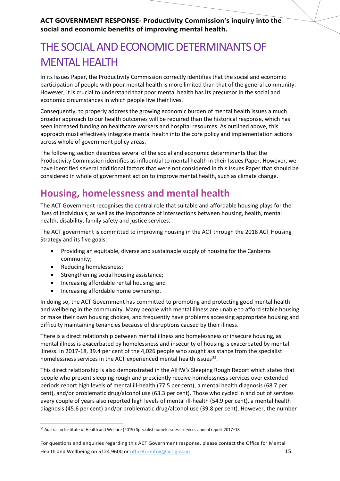## THE SOCIAL AND ECONOMIC DETERMINANTS OF MENTAL HEALTH

In its Issues Paper, the Productivity Commission correctly identifies that the social and economic participation of people with poor mental health is more limited than that of the general community. However, it is crucial to understand that poor mental health has its precursor in the social and economic circumstances in which people live their lives.

Consequently, to properly address the growing economic burden of mental health issues a much broader approach to our health outcomes will be required than the historical response, which has seen increased funding on healthcare workers and hospital resources. As outlined above, this approach must effectively integrate mental health into the core policy and implementation actions across whole of government policy areas.

The following section describes several of the social and economic determinants that the Productivity Commission identifies as influential to mental health in their Issues Paper. However, we have identified several additional factors that were not considered in this Issues Paper that should be considered in whole of government action to improve mental health, such as climate change.

## **Housing, homelessness and mental health**

The ACT Government recognises the central role that suitable and affordable housing plays for the lives of individuals, as well as the importance of intersections between housing, health, mental health, disability, family safety and justice services.

The ACT government is committed to improving housing in the ACT through the 2018 ACT Housing Strategy and its five goals:

- Providing an equitable, diverse and sustainable supply of housing for the Canberra community;
- Reducing homelessness;
- Strengthening social housing assistance;
- Increasing affordable rental housing; and
- Increasing affordable home ownership.

In doing so, the ACT Government has committed to promoting and protecting good mental health and wellbeing in the community. Many people with mental illness are unable to afford stable housing or make their own housing choices, and frequently have problems accessing appropriate housing and difficulty maintaining tenancies because of disruptions caused by their illness.

There is a direct relationship between mental illness and homelessness or insecure housing, as mental illness is exacerbated by homelessness and insecurity of housing is exacerbated by mental illness. In 2017-18, 39.4 per cent of the 4,026 people who sought assistance from the specialist homelessness services in the ACT experienced mental health issues $32$ .

This direct relationship is also demonstrated in the AIHW's Sleeping Rough Report which states that people who present sleeping rough and presciently receive homelessness services over extended periods report high levels of mental ill-health (77.5 per cent), a mental health diagnosis (68.7 per cent), and/or problematic drug/alcohol use (63.3 per cent). Those who cycled in and out of services every couple of years also reported high levels of mental ill-health (54.9 per cent), a mental health diagnosis (45.6 per cent) and/or problematic drug/alcohol use (39.8 per cent). However, the number

<span id="page-14-0"></span><sup>32</sup> Australian Institute of Health and Welfare (2019) Specialist homelessness services annual report 2017–18

For questions and enquiries regarding this ACT Government response, please contact the Office for Mental Health and Wellbeing on 5124 9600 or [officeformhw@act.gov.au](mailto:officeformhw@act.gov.au) 15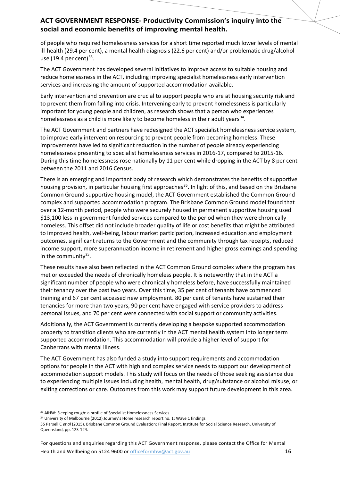of people who required homelessness services for a short time reported much lower levels of mental ill-health (29.4 per cent), a mental health diagnosis (22.6 per cent) and/or problematic drug/alcohol use (19.4 per cent) $33$ .

The ACT Government has developed several initiatives to improve access to suitable housing and reduce homelessness in the ACT, including improving specialist homelessness early intervention services and increasing the amount of supported accommodation available.

Early intervention and prevention are crucial to support people who are at housing security risk and to prevent them from falling into crisis. Intervening early to prevent homelessness is particularly important for young people and children, as research shows that a person who experiences homelessness as a child is more likely to become homeless in their adult years<sup>[34](#page-15-2)</sup>.

The ACT Government and partners have redesigned the ACT specialist homelessness service system, to improve early intervention resourcing to prevent people from becoming homeless. These improvements have led to significant reduction in the number of people already experiencing homelessness presenting to specialist homelessness services in 2016-17, compared to 2015-16. During this time homelessness rose nationally by 11 per cent while dropping in the ACT by 8 per cent between the 2011 and 2016 Census.

<span id="page-15-0"></span>There is an emerging and important body of research which demonstrates the benefits of supportive housing provision, in particular housing first approaches<sup>35</sup>. In light of this, and based on the Brisbane Common Ground supportive housing model, the ACT Government established the Common Ground complex and supported accommodation program. The Brisbane Common Ground model found that over a 12-month period, people who were securely housed in permanent supportive housing used \$13,100 less in government funded services compared to the period when they were chronically homeless. This offset did not include broader quality of life or cost benefits that might be attributed to improved health, well-being, labour market participation, increased education and employment outcomes, significant returns to the Government and the community through tax receipts, reduced income support, more superannuation income in retirement and higher gross earnings and spending in the community $35$ .

These results have also been reflected in the ACT Common Ground complex where the program has met or exceeded the needs of chronically homeless people. It is noteworthy that in the ACT a significant number of people who were chronically homeless before, have successfully maintained their tenancy over the past two years. Over this time, 35 per cent of tenants have commenced training and 67 per cent accessed new employment. 80 per cent of tenants have sustained their tenancies for more than two years, 90 per cent have engaged with service providers to address personal issues, and 70 per cent were connected with social support or community activities.

Additionally, the ACT Government is currently developing a bespoke supported accommodation property to transition clients who are currently in the ACT mental health system into longer term supported accommodation. This accommodation will provide a higher level of support for Canberrans with mental illness.

The ACT Government has also funded a study into support requirements and accommodation options for people in the ACT with high and complex service needs to support our development of accommodation support models. This study will focus on the needs of those seeking assistance due to experiencing multiple issues including health, mental health, drug/substance or alcohol misuse, or exiting corrections or care. Outcomes from this work may support future development in this area.

<span id="page-15-1"></span><sup>33</sup> AIHW: Sleeping rough: a profile of Specialist Homelessness Services

<span id="page-15-2"></span><sup>&</sup>lt;sup>34</sup> University of Melbourne (2012) Journey's Home research report no. 1: Wave 1 findings

<span id="page-15-3"></span><sup>35</sup> Parsell C *et al* (2015). Brisbane Common Ground Evaluation: Final Report, Institute for Social Science Research, University of Queensland, pp. 123-124.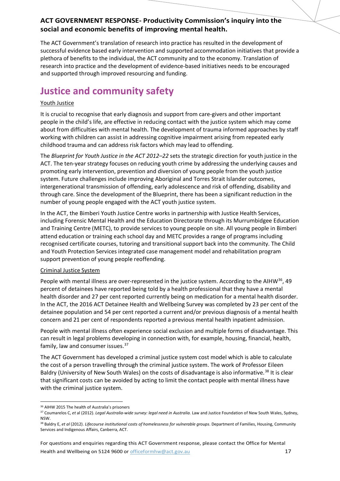The ACT Government's translation of research into practice has resulted in the development of successful evidence based early intervention and supported accommodation initiatives that provide a plethora of benefits to the individual, the ACT community and to the economy. Translation of research into practice and the development of evidence-based initiatives needs to be encouraged and supported through improved resourcing and funding.

## **Justice and community safety**

#### Youth Justice

It is crucial to recognise that early diagnosis and support from care-givers and other important people in the child's life, are effective in reducing contact with the justice system which may come about from difficulties with mental health. The development of trauma informed approaches by staff working with children can assist in addressing cognitive impairment arising from repeated early childhood trauma and can address risk factors which may lead to offending.

The *Blueprint for Youth Justice in the ACT 2012–22* sets the strategic direction for youth justice in the ACT. The ten-year strategy focuses on reducing youth crime by addressing the underlying causes and promoting early intervention, prevention and diversion of young people from the youth justice system. Future challenges include improving Aboriginal and Torres Strait Islander outcomes, intergenerational transmission of offending, early adolescence and risk of offending, disability and through care. Since the development of the Blueprint, there has been a significant reduction in the number of young people engaged with the ACT youth justice system.

In the ACT, the Bimberi Youth Justice Centre works in partnership with Justice Health Services, including Forensic Mental Health and the Education Directorate through its Murrumbidgee Education and Training Centre (METC), to provide services to young people on site. All young people in Bimberi attend education or training each school day and METC provides a range of programs including recognised certificate courses, tutoring and transitional support back into the community. The Child and Youth Protection Services integrated case management model and rehabilitation program support prevention of young people reoffending.

#### Criminal Justice System

People with mental illness are over-represented in the justice system. According to the AIHW<sup>36</sup>, 49 percent of detainees have reported being told by a health professional that they have a mental health disorder and 27 per cent reported currently being on medication for a mental health disorder. In the ACT, the 2016 ACT Detainee Health and Wellbeing Survey was completed by 23 per cent of the detainee population and 54 per cent reported a current and/or previous diagnosis of a mental health concern and 21 per cent of respondents reported a previous mental health inpatient admission.

People with mental illness often experience social exclusion and multiple forms of disadvantage. This can result in legal problems developing in connection with, for example, housing, financial, health, family, law and consumer issues.[37](#page-16-1)

The ACT Government has developed a criminal justice system cost model which is able to calculate the cost of a person travelling through the criminal justice system. The work of Professor Eileen Baldry (University of New South Wales) on the costs of disadvantage is also informative.<sup>[38](#page-16-2)</sup> It is clear that significant costs can be avoided by acting to limit the contact people with mental illness have with the criminal justice system.

For questions and enquiries regarding this ACT Government response, please contact the Office for Mental Health and Wellbeing on 5124 9600 or [officeformhw@act.gov.au](mailto:officeformhw@act.gov.au) 17

<span id="page-16-0"></span> <sup>36</sup> AIHW 2015 The health of Australia's prisoners

<span id="page-16-1"></span><sup>37</sup> Coumarelos C, *et* al (2012). *Legal Australia-wide survey: legal need in Australia.* Law and Justice Foundation of New South Wales, Sydney, NSW.

<span id="page-16-2"></span><sup>&</sup>lt;sup>38</sup> Baldry E, et al (2012). Lifecourse institutional costs of homelessness for vulnerable groups. Department of Families, Housing, Community Services and Indigenous Affairs, Canberra, ACT.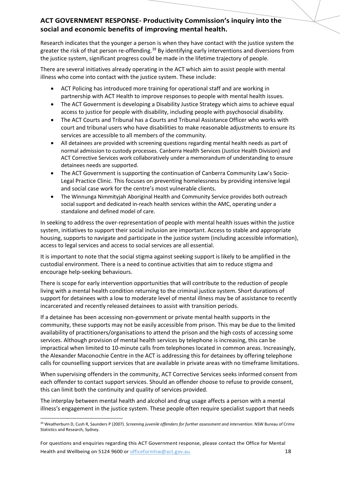Research indicates that the younger a person is when they have contact with the justice system the greater the risk of that person re-offending.<sup>[39](#page-17-0)</sup> By identifying early interventions and diversions from the justice system, significant progress could be made in the lifetime trajectory of people.

There are several initiatives already operating in the ACT which aim to assist people with mental illness who come into contact with the justice system. These include:

- ACT Policing has introduced more training for operational staff and are working in partnership with ACT Health to improve responses to people with mental health issues.
- The ACT Government is developing a Disability Justice Strategy which aims to achieve equal access to justice for people with disability, including people with psychosocial disability.
- The ACT Courts and Tribunal has a Courts and Tribunal Assistance Officer who works with court and tribunal users who have disabilities to make reasonable adjustments to ensure its services are accessible to all members of the community.
- All detainees are provided with screening questions regarding mental health needs as part of normal admission to custody processes. Canberra Health Services (Justice Health Division) and ACT Corrective Services work collaboratively under a memorandum of understanding to ensure detainees needs are supported.
- The ACT Government is supporting the continuation of Canberra Community Law's Socio-Legal Practice Clinic. This focuses on preventing homelessness by providing intensive legal and social case work for the centre's most vulnerable clients.
- The Winnunga Nimmityjah Aboriginal Health and Community Service provides both outreach social support and dedicated in-reach health services within the AMC, operating under a standalone and defined model of care.

In seeking to address the over-representation of people with mental health issues within the justice system, initiatives to support their social inclusion are important. Access to stable and appropriate housing, supports to navigate and participate in the justice system (including accessible information), access to legal services and access to social services are all essential.

It is important to note that the social stigma against seeking support is likely to be amplified in the custodial environment. There is a need to continue activities that aim to reduce stigma and encourage help-seeking behaviours.

There is scope for early intervention opportunities that will contribute to the reduction of people living with a mental health condition returning to the criminal justice system. Short durations of support for detainees with a low to moderate level of mental illness may be of assistance to recently incarcerated and recently released detainees to assist with transition periods.

If a detainee has been accessing non-government or private mental health supports in the community, these supports may not be easily accessible from prison. This may be due to the limited availability of practitioners/organisations to attend the prison and the high costs of accessing some services. Although provision of mental health services by telephone is increasing, this can be impractical when limited to 10-minute calls from telephones located in common areas. Increasingly, the Alexander Maconochie Centre in the ACT is addressing this for detainees by offering telephone calls for counselling support services that are available in private areas with no timeframe limitations.

When supervising offenders in the community, ACT Corrective Services seeks informed consent from each offender to contact support services. Should an offender choose to refuse to provide consent, this can limit both the continuity and quality of services provided.

The interplay between mental health and alcohol and drug usage affects a person with a mental illness's engagement in the justice system. These people often require specialist support that needs

<span id="page-17-0"></span> <sup>39</sup> Weatherburn D, Cush R, Saunders P (2007). *Screening juvenile offenders for further assessment and intervention*. NSW Bureau of Crime Statistics and Research, Sydney.

For questions and enquiries regarding this ACT Government response, please contact the Office for Mental Health and Wellbeing on 5124 9600 or [officeformhw@act.gov.au](mailto:officeformhw@act.gov.au) 18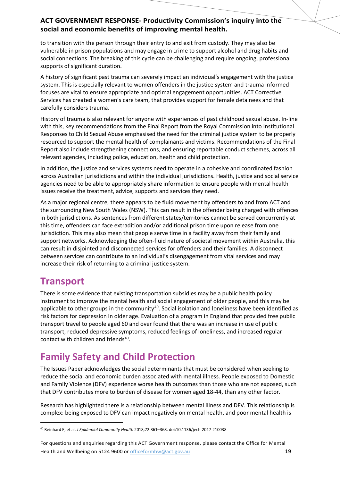to transition with the person through their entry to and exit from custody. They may also be vulnerable in prison populations and may engage in crime to support alcohol and drug habits and social connections. The breaking of this cycle can be challenging and require ongoing, professional supports of significant duration.

A history of significant past trauma can severely impact an individual's engagement with the justice system. This is especially relevant to women offenders in the justice system and trauma informed focuses are vital to ensure appropriate and optimal engagement opportunities. ACT Corrective Services has created a women's care team, that provides support for female detainees and that carefully considers trauma.

History of trauma is also relevant for anyone with experiences of past childhood sexual abuse. In-line with this, key recommendations from the Final Report from the Royal Commission into Institutional Responses to Child Sexual Abuse emphasised the need for the criminal justice system to be properly resourced to support the mental health of complainants and victims. Recommendations of the Final Report also include strengthening connections, and ensuring reportable conduct schemes, across all relevant agencies, including police, education, health and child protection.

In addition, the justice and services systems need to operate in a cohesive and coordinated fashion across Australian jurisdictions and within the individual jurisdictions. Health, justice and social service agencies need to be able to appropriately share information to ensure people with mental health issues receive the treatment, advice, supports and services they need.

As a major regional centre, there appears to be fluid movement by offenders to and from ACT and the surrounding New South Wales (NSW). This can result in the offender being charged with offences in both jurisdictions. As sentences from different states/territories cannot be served concurrently at this time, offenders can face extradition and/or additional prison time upon release from one jurisdiction. This may also mean that people serve time in a facility away from their family and support networks. Acknowledging the often-fluid nature of societal movement within Australia, this can result in disjointed and disconnected services for offenders and their families. A disconnect between services can contribute to an individual's disengagement from vital services and may increase their risk of returning to a criminal justice system.

### **Transport**

<span id="page-18-0"></span>There is some evidence that existing transportation subsidies may be a public health policy instrument to improve the mental health and social engagement of older people, and this may be applicable to other groups in the community<sup>40</sup>. Social isolation and loneliness have been identified as risk factors for depression in older age. Evaluation of a program in England that provided free public transport travel to people aged 60 and over found that there was an increase in use of public transport, reduced depressive symptoms, reduced feelings of loneliness, and increased regular contact with children and friends<sup>40</sup>.

## **Family Safety and Child Protection**

The Issues Paper acknowledges the social determinants that must be considered when seeking to reduce the social and economic burden associated with mental illness. People exposed to Domestic and Family Violence (DFV) experience worse health outcomes than those who are not exposed, such that DFV contributes more to burden of disease for women aged 18-44, than any other factor.

Research has highlighted there is a relationship between mental illness and DFV. This relationship is complex: being exposed to DFV can impact negatively on mental health, and poor mental health is

<span id="page-18-1"></span> <sup>40</sup> Reinhard E, et al. *J Epidemiol Community Health* 2018;72:361–368. doi:10.1136/jech-2017-210038

For questions and enquiries regarding this ACT Government response, please contact the Office for Mental Health and Wellbeing on 5124 9600 or [officeformhw@act.gov.au](mailto:officeformhw@act.gov.au) 19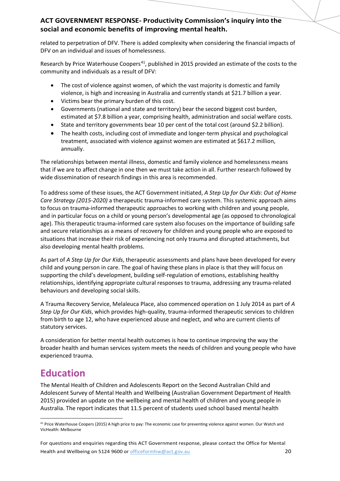related to perpetration of DFV. There is added complexity when considering the financial impacts of DFV on an individual and issues of homelessness.

Research by Price Waterhouse Coopers<sup>[41](#page-19-0)</sup>, published in 2015 provided an estimate of the costs to the community and individuals as a result of DFV:

- The cost of violence against women, of which the vast majority is domestic and family violence, is high and increasing in Australia and currently stands at \$21.7 billion a year.
- Victims bear the primary burden of this cost.
- Governments (national and state and territory) bear the second biggest cost burden, estimated at \$7.8 billion a year, comprising health, administration and social welfare costs.
- State and territory governments bear 10 per cent of the total cost (around \$2.2 billion).
- The health costs, including cost of immediate and longer-term physical and psychological treatment, associated with violence against women are estimated at \$617.2 million, annually.

The relationships between mental illness, domestic and family violence and homelessness means that if we are to affect change in one then we must take action in all. Further research followed by wide dissemination of research findings in this area is recommended.

To address some of these issues, the ACT Government initiated, *A Step Up for Our Kids*: *Out of Home Care Strategy (2015-2020)* a therapeutic trauma-informed care system. This systemic approach aims to focus on trauma-informed therapeutic approaches to working with children and young people, and in particular focus on a child or young person's developmental age (as opposed to chronological age). This therapeutic trauma-informed care system also focuses on the importance of building safe and secure relationships as a means of recovery for children and young people who are exposed to situations that increase their risk of experiencing not only trauma and disrupted attachments, but also developing mental health problems.

As part of *A Step Up for Our Kids*, therapeutic assessments and plans have been developed for every child and young person in care. The goal of having these plans in place is that they will focus on supporting the child's development, building self-regulation of emotions, establishing healthy relationships, identifying appropriate cultural responses to trauma, addressing any trauma-related behaviours and developing social skills.

A Trauma Recovery Service, Melaleuca Place, also commenced operation on 1 July 2014 as part of *A Step Up for Our Kids*, which provides high-quality, trauma-informed therapeutic services to children from birth to age 12, who have experienced abuse and neglect, and who are current clients of statutory services.

A consideration for better mental health outcomes is how to continue improving the way the broader health and human services system meets the needs of children and young people who have experienced trauma.

## **Education**

The Mental Health of Children and Adolescents Report on the Second Australian Child and Adolescent Survey of Mental Health and Wellbeing (Australian Government Department of Health 2015) provided an update on the wellbeing and mental health of children and young people in Australia. The report indicates that 11.5 percent of students used school based mental health

For questions and enquiries regarding this ACT Government response, please contact the Office for Mental Health and Wellbeing on 5124 9600 or [officeformhw@act.gov.au](mailto:officeformhw@act.gov.au) 20

<span id="page-19-0"></span><sup>&</sup>lt;sup>41</sup> Price Waterhouse Coopers (2015) A high price to pay: The economic case for preventing violence against women. Our Watch and VicHealth: Melbourne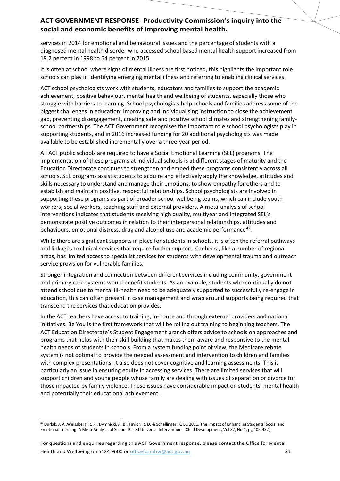services in 2014 for emotional and behavioural issues and the percentage of students with a diagnosed mental health disorder who accessed school based mental health support increased from 19.2 percent in 1998 to 54 percent in 2015.

It is often at school where signs of mental illness are first noticed, this highlights the important role schools can play in identifying emerging mental illness and referring to enabling clinical services.

ACT school psychologists work with students, educators and families to support the academic achievement, positive behaviour, mental health and wellbeing of students, especially those who struggle with barriers to learning. School psychologists help schools and families address some of the biggest challenges in education: improving and individualising instruction to close the achievement gap, preventing disengagement, creating safe and positive school climates and strengthening familyschool partnerships. The ACT Government recognises the important role school psychologists play in supporting students, and in 2016 increased funding for 20 additional psychologists was made available to be established incrementally over a three-year period.

All ACT public schools are required to have a Social Emotional Learning (SEL) programs. The implementation of these programs at individual schools is at different stages of maturity and the Education Directorate continues to strengthen and embed these programs consistently across all schools. SEL programs assist students to acquire and effectively apply the knowledge, attitudes and skills necessary to understand and manage their emotions, to show empathy for others and to establish and maintain positive, respectful relationships. School psychologists are involved in supporting these programs as part of broader school wellbeing teams, which can include youth workers, social workers, teaching staff and external providers. A meta-analysis of school interventions indicates that students receiving high quality, multiyear and integrated SEL's demonstrate positive outcomes in relation to their interpersonal relationships, attitudes and behaviours, emotional distress, drug and alcohol use and academic performance<sup>[42](#page-20-0)</sup>.

While there are significant supports in place for students in schools, it is often the referral pathways and linkages to clinical services that require further support. Canberra, like a number of regional areas, has limited access to specialist services for students with developmental trauma and outreach service provision for vulnerable families.

Stronger integration and connection between different services including community, government and primary care systems would benefit students. As an example, students who continually do not attend school due to mental ill-health need to be adequately supported to successfully re-engage in education, this can often present in case management and wrap around supports being required that transcend the services that education provides.

In the ACT teachers have access to training, in-house and through external providers and national initiatives. Be You is the first framework that will be rolling out training to beginning teachers. The ACT Education Directorate's Student Engagement branch offers advice to schools on approaches and programs that helps with their skill building that makes them aware and responsive to the mental health needs of students in schools. From a system funding point of view, the Medicare rebate system is not optimal to provide the needed assessment and intervention to children and families with complex presentations. It also does not cover cognitive and learning assessments. This is particularly an issue in ensuring equity in accessing services. There are limited services that will support children and young people whose family are dealing with issues of separation or divorce for those impacted by family violence. These issues have considerable impact on students' mental health and potentially their educational achievement.

<span id="page-20-0"></span> <sup>42</sup> Durlak, J. A.,Weissberg, R. P., Dymnicki, A. B., Taylor, R. D. & Schellinger, K. B.. 2011. The Impact of Enhancing Students' Social and Emotional Learning: A Meta-Analysis of School-Based Universal Interventions. Child Development, Vol 82, No 1, pg 405-432)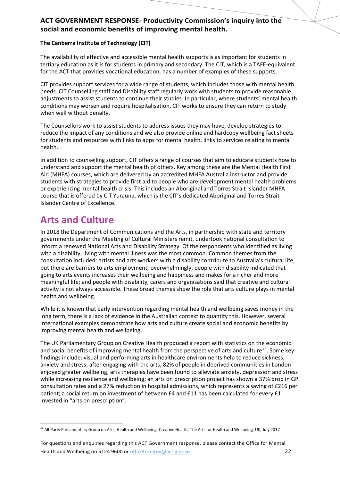#### **The Canberra Institute of Technology (CIT)**

The availability of effective and accessible mental health supports is as important for students in tertiary education as it is for students in primary and secondary. The CIT, which is a TAFE-equivalent for the ACT that provides vocational education, has a number of examples of these supports.

CIT provides support services for a wide range of students, which includes those with mental health needs. CIT Counselling staff and Disability staff regularly work with students to provide reasonable adjustments to assist students to continue their studies. In particular, where students' mental health conditions may worsen and require hospitalisation, CIT works to ensure they can return to study when well without penalty.

The Counsellors work to assist students to address issues they may have, develop strategies to reduce the impact of any conditions and we also provide online and hardcopy wellbeing fact sheets for students and resources with links to apps for mental health, links to services relating to mental health.

In addition to counselling support, CIT offers a range of courses that aim to educate students how to understand and support the mental health of others. Key among these are the Mental Health First Aid (MHFA) courses, which are delivered by an accredited MHFA Australia instructor and provide students with strategies to provide first aid to people who are development mental health problems or experiencing mental health crisis. This includes an Aboriginal and Torres Strait Islander MHFA course that is offered by CIT Yurauna, which is the CIT's dedicated Aboriginal and Torres Strait Islander Centre of Excellence.

## **Arts and Culture**

In 2018 the Department of Communications and the Arts, in partnership with state and territory governments under the Meeting of Cultural Ministers remit, undertook national consultation to inform a renewed National Arts and Disability Strategy. Of the respondents who identified as living with a disability, living with mental illness was the most common. Common themes from the consultation included: artists and arts workers with a disability contribute to Australia's cultural life, but there are barriers to arts employment; overwhelmingly, people with disability indicated that going to arts events increases their wellbeing and happiness and makes for a richer and more meaningful life; and people with disability, carers and organisations said that creative and cultural activity is not always accessible. These broad themes show the role that arts culture plays in mental health and wellbeing.

While it is known that early intervention regarding mental health and wellbeing saves money in the long term, there is a lack of evidence in the Australian context to quantify this. However, several international examples demonstrate how arts and culture create social and economic benefits by improving mental health and wellbeing.

The UK Parliamentary Group on Creative Health produced a report with statistics on the economic and social benefits of improving mental health from the perspective of arts and culture<sup>[43](#page-21-0)</sup>. Some key findings include: visual and performing arts in healthcare environments help to reduce sickness, anxiety and stress; after engaging with the arts, 82% of people in deprived communities in London enjoyed greater wellbeing; arts therapies have been found to alleviate anxiety, depression and stress while increasing resilience and wellbeing; an arts on prescription project has shown a 37% drop in GP consultation rates and a 27% reduction in hospital admissions, which represents a saving of £216 per patient; a social return on investment of between £4 and £11 has been calculated for every £1 invested in "arts on prescription".

For questions and enquiries regarding this ACT Government response, please contact the Office for Mental Health and Wellbeing on 5124 9600 or [officeformhw@act.gov.au](mailto:officeformhw@act.gov.au) 22

<span id="page-21-0"></span><sup>43</sup> All-Party Parliamentary Group on Arts, Health and Wellbeing, Creative Health: The Arts for Health and Wellbeing, UK, July 2017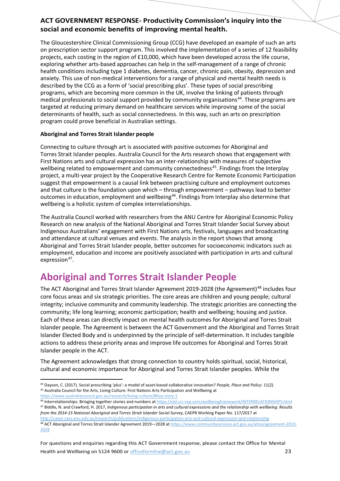The Gloucestershire Clinical Commissioning Group (CCG) have developed an example of such an arts on prescription sector support program. This involved the implementation of a series of 12 feasibility projects, each costing in the region of £10,000, which have been developed across the life course, exploring whether arts-based approaches can help in the self-management of a range of chronic health conditions including type 1 diabetes, dementia, cancer, chronic pain, obesity, depression and anxiety. This use of non-medical interventions for a range of physical and mental health needs is described by the CCG as a form of 'social prescribing plus'. These types of social prescribing programs, which are becoming more common in the UK, involve the linking of patients through medical professionals to social support provided by community organisations<sup>[44](#page-22-0)</sup>. These programs are targeted at reducing primary demand on healthcare services while improving some of the social determinants of health, such as social connectedness. In this way, such an arts on prescription program could prove beneficial in Australian settings.

#### **Aboriginal and Torres Strait Islander people**

Connecting to culture through art is associated with positive outcomes for Aboriginal and Torres Strait Islander peoples. Australia Council for the Arts research shows that engagement with First Nations arts and cultural expression has an inter-relationship with measures of subjective wellbeing related to empowerment and community connectedness<sup>[45](#page-22-1)</sup>. Findings from the Interplay project, a multi-year project by the Cooperative Research Centre for Remote Economic Participation suggest that empowerment is a causal link between practising culture and employment outcomes and that culture is the foundation upon which – through empowerment – pathways lead to better outcomes in education, employment and wellbeing<sup>[46](#page-22-2)</sup>. Findings from Interplay also determine that wellbeing is a holistic system of complex interrelationships.

The Australia Council worked with researchers from the ANU Centre for Aboriginal Economic Policy Research on new analysis of the National Aboriginal and Torres Strait Islander Social Survey about Indigenous Australians' engagement with First Nations arts, festivals, languages and broadcasting and attendance at cultural venues and events. The analysis in the report shows that among Aboriginal and Torres Strait Islander people, better outcomes for socioeconomic indicators such as employment, education and income are positively associated with participation in arts and cultural expression $47$ .

### **Aboriginal and Torres Strait Islander People**

The ACT Aboriginal and Torres Strait Islander Agreement 2019-2028 (the Agreement)<sup>[48](#page-22-4)</sup> includes four core focus areas and six strategic priorities. The core areas are children and young people; cultural integrity; inclusive community and community leadership. The strategic priorities are connecting the community; life long learning; economic participation; health and wellbeing; housing and justice. Each of these areas can directly impact on mental health outcomes for Aboriginal and Torres Strait Islander people. The Agreement is between the ACT Government and the Aboriginal and Torres Strait Islander Elected Body and is underpinned by the principle of self-determination. It includes tangible actions to address these priority areas and improve life outcomes for Aboriginal and Torres Strait Islander people in the ACT.

The Agreement acknowledges that strong connection to country holds spiritual, social, historical, cultural and economic importance for Aboriginal and Torres Strait Islander peoples. While the

For questions and enquiries regarding this ACT Government response, please contact the Office for Mental Health and Wellbeing on 5124 9600 or [officeformhw@act.gov.au](mailto:officeformhw@act.gov.au) 23

<span id="page-22-1"></span><span id="page-22-0"></span> <sup>44</sup> Dayson, C. (2017). Social prescribing 'plus': a model of asset-based collaborative innovation? *People, Place and Policy*: 11(2). <sup>45</sup> Australia Council for the Arts, Living Culture: First Nations Arts Participation and Wellbeing at <https://www.australiacouncil.gov.au/research/living-culture/#Key-story-1>

<span id="page-22-2"></span><sup>46</sup> Interrelationships: Bringing together stories and numbers a[t https://old.crc-rep.com/wellbeingframework/INTERRELATIONSHIPS.html](https://old.crc-rep.com/wellbeingframework/INTERRELATIONSHIPS.html) <sup>47</sup> Biddle, N. and Crawford, H. 2017, *Indigenous participation in arts and cultural expressions and the relationship with wellbeing: Results* 

<span id="page-22-3"></span>*from the 2014-15 National Aboriginal and Torres Strait Islander Social Survey*, CAEPR Working Paper No. 117/2017 at <http://caepr.cass.anu.edu.au/research/publications/indigenous-participation-arts-and-cultural-expression-and-relationship>

<span id="page-22-4"></span><sup>48</sup> ACT Aboriginal and Torres Strait Islander Agreement 2019-2028 a[t https://www.communityservices.act.gov.au/atsia/agreement-2019-](https://www.communityservices.act.gov.au/atsia/agreement-2019-2028) [2028](https://www.communityservices.act.gov.au/atsia/agreement-2019-2028)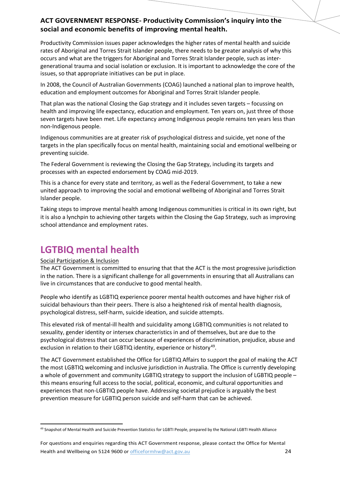Productivity Commission issues paper acknowledges the higher rates of mental health and suicide rates of Aboriginal and Torres Strait Islander people, there needs to be greater analysis of why this occurs and what are the triggers for Aboriginal and Torres Strait Islander people, such as intergenerational trauma and social isolation or exclusion. It is important to acknowledge the core of the issues, so that appropriate initiatives can be put in place.

In 2008, the Council of Australian Governments (COAG) launched a national plan to improve health, education and employment outcomes for Aboriginal and Torres Strait Islander people.

That plan was the national Closing the Gap strategy and it includes seven targets – focussing on health and improving life expectancy, education and employment. Ten years on, just three of those seven targets have been met. Life expectancy among Indigenous people remains ten years less than non-Indigenous people.

Indigenous communities are at greater risk of psychological distress and suicide, yet none of the targets in the plan specifically focus on mental health, maintaining social and emotional wellbeing or preventing suicide.

The Federal Government is reviewing the Closing the Gap Strategy, including its targets and processes with an expected endorsement by COAG mid-2019.

This is a chance for every state and territory, as well as the Federal Government, to take a new united approach to improving the social and emotional wellbeing of Aboriginal and Torres Strait Islander people.

Taking steps to improve mental health among Indigenous communities is critical in its own right, but it is also a lynchpin to achieving other targets within the Closing the Gap Strategy, such as improving school attendance and employment rates.

### **LGTBIQ mental health**

#### Social Participation & Inclusion

The ACT Government is committed to ensuring that that the ACT is the most progressive jurisdiction in the nation. There is a significant challenge for all governments in ensuring that all Australians can live in circumstances that are conducive to good mental health.

People who identify as LGBTIQ experience poorer mental health outcomes and have higher risk of suicidal behaviours than their peers. There is also a heightened risk of mental health diagnosis, psychological distress, self-harm, suicide ideation, and suicide attempts.

This elevated risk of mental-ill health and suicidality among LGBTIQ communities is not related to sexuality, gender identity or intersex characteristics in and of themselves, but are due to the psychological distress that can occur because of experiences of discrimination, prejudice, abuse and exclusion in relation to their LGBTIQ identity, experience or history<sup>[49](#page-23-0)</sup>.

The ACT Government established the Office for LGBTIQ Affairs to support the goal of making the ACT the most LGBTIQ welcoming and inclusive jurisdiction in Australia. The Office is currently developing a whole of government and community LGBTIQ strategy to support the inclusion of LGBTIQ people – this means ensuring full access to the social, political, economic, and cultural opportunities and experiences that non-LGBTIQ people have. Addressing societal prejudice is arguably the best prevention measure for LGBTIQ person suicide and self-harm that can be achieved.

<span id="page-23-0"></span> <sup>49</sup> Snapshot of Mental Health and Suicide Prevention Statistics for LGBTI People, prepared by the National LGBTI Health Alliance

For questions and enquiries regarding this ACT Government response, please contact the Office for Mental Health and Wellbeing on 5124 9600 or [officeformhw@act.gov.au](mailto:officeformhw@act.gov.au) 24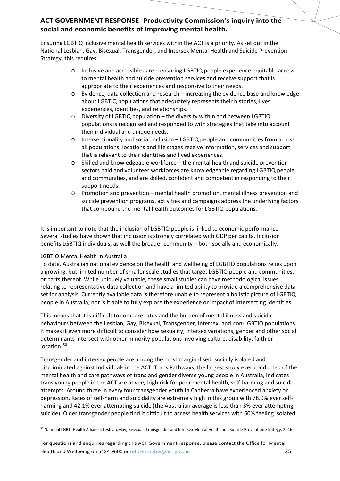Ensuring LGBTIQ inclusive mental health services within the ACT is a priority. As set out in the National Lesbian, Gay, Bisexual, Transgender, and Intersex Mental Health and Suicide Prevention Strategy, this requires:

- o Inclusive and accessible care ensuring LGBTIQ people experience equitable access to mental health and suicide prevention services and receive support that is appropriate to their experiences and responsive to their needs.
- o Evidence, data collection and research increasing the evidence base and knowledge about LGBTIQ populations that adequately represents their histories, lives, experiences, identities, and relationships.
- $\circ$  Diversity of LGBTIQ population the diversity within and between LGBTIQ populations is recognised and responded to with strategies that take into account their individual and unique needs.
- o Intersectionality and social inclusion LGBTIQ people and communities from across all populations, locations and life stages receive information, services and support that is relevant to their identities and lived experiences.
- $\circ$  Skilled and knowledgeable workforce the mental health and suicide prevention sectors paid and volunteer workforces are knowledgeable regarding LGBTIQ people and communities, and are skilled, confident and competent in responding to their support needs.
- o Promotion and prevention mental health promotion, mental illness prevention and suicide prevention programs, activities and campaigns address the underlying factors that compound the mental health outcomes for LGBTIQ populations.

It is important to note that the inclusion of LGBTIQ people is linked to economic performance. Several studies have shown that inclusion is strongly correlated with GDP per capita. Inclusion benefits LGBTIQ individuals, as well the broader community – both socially and economically.

#### LGBTIQ Mental Health in Australia

To date, Australian national evidence on the health and wellbeing of LGBTIQ populations relies upon a growing, but limited number of smaller scale studies that target LGBTIQ people and communities, or parts thereof. While uniquely valuable, these small studies can have methodological issues relating to representative data collection and have a limited ability to provide a comprehensive data set for analysis. Currently available data is therefore unable to represent a holistic picture of LGBTIQ people in Australia, nor is it able to fully explore the experience or impact of intersecting identities.

This means that it is difficult to compare rates and the burden of mental illness and suicidal behaviours between the Lesbian, Gay, Bisexual, Transgender, Intersex, and non-LGBTIQ populations. It makes it even more difficult to consider how sexuality, intersex variations, gender and other social determinants intersect with other minority populations involving culture, disability, faith or location.<sup>[50](#page-24-0)</sup>

<span id="page-24-1"></span>Transgender and intersex people are among the most marginalised, socially isolated and discriminated against individuals in the ACT. Trans Pathways, the largest study ever conducted of the mental health and care pathways of trans and gender diverse young people in Australia, indicates trans young people in the ACT are at very high risk for poor mental health, self-harming and suicide attempts. Around three in every four transgender youth in Canberra have experienced anxiety or depression. Rates of self-harm and suicidality are extremely high in this group with 78.9% ever selfharming and 42.1% ever attempting suicide (the Australian average is less than 3% ever attempting suicide). Older transgender people find it difficult to access health services with 60% feeling isolated

<span id="page-24-0"></span> <sup>50</sup> National LGBTI Health Alliance, Lesbian, Gay, Bisexual, Transgender and Intersex Mental Health and Suicide Prevention Strategy, 2016.

For questions and enquiries regarding this ACT Government response, please contact the Office for Mental Health and Wellbeing on 5124 9600 or [officeformhw@act.gov.au](mailto:officeformhw@act.gov.au) 25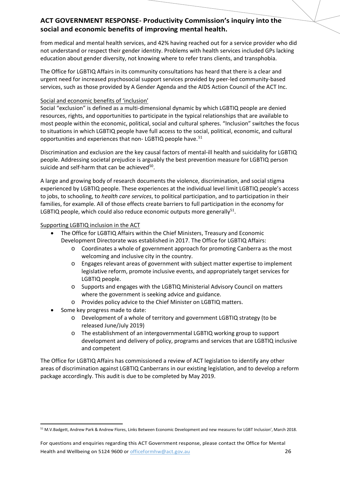from medical and mental health services, and 42% having reached out for a service provider who did not understand or respect their gender identity. Problems with health services included GPs lacking education about gender diversity, not knowing where to refer trans clients, and transphobia.

The Office for LGBTIQ Affairs in its community consultations has heard that there is a clear and urgent need for increased psychosocial support services provided by peer-led community-based services, such as those provided by A Gender Agenda and the AIDS Action Council of the ACT Inc.

#### Social and economic benefits of 'inclusion'

Social "exclusion" is defined as a multi-dimensional dynamic by which LGBTIQ people are denied resources, rights, and opportunities to participate in the typical relationships that are available to most people within the economic, political, social and cultural spheres. "Inclusion" switches the focus to situations in which LGBTIQ people have full access to the social, political, economic, and cultural opportunities and experiences that non-LGBTIQ people have.<sup>[51](#page-25-1)</sup>

<span id="page-25-0"></span>Discrimination and exclusion are the key causal factors of mental-ill health and suicidality for LGBTIQ people. Addressing societal prejudice is arguably the best prevention measure for LGBTIQ person suicide and self-harm that can be achieved $50$ .

A large and growing body of research documents the violence, discrimination, and social stigma experienced by LGBTIQ people. These experiences at the individual level limit LGBTIQ people's access to jobs, to schooling, to *health care services*, to political participation, and to participation in their families, for example. All of those effects create barriers to full participation in the economy for LGBTIQ people, which could also reduce economic outputs more generally $51$ .

#### Supporting LGBTIQ inclusion in the ACT

- The Office for LGBTIQ Affairs within the Chief Ministers, Treasury and Economic Development Directorate was established in 2017. The Office for LGBTIQ Affairs:
	- o Coordinates a whole of government approach for promoting Canberra as the most welcoming and inclusive city in the country.
	- o Engages relevant areas of government with subject matter expertise to implement legislative reform, promote inclusive events, and appropriately target services for LGBTIQ people.
	- o Supports and engages with the LGBTIQ Ministerial Advisory Council on matters where the government is seeking advice and guidance.
	- o Provides policy advice to the Chief Minister on LGBTIQ matters.
- Some key progress made to date:
	- o Development of a whole of territory and government LGBTIQ strategy (to be released June/July 2019)
	- o The establishment of an intergovernmental LGBTIQ working group to support development and delivery of policy, programs and services that are LGBTIQ inclusive and competent

The Office for LGBTIQ Affairs has commissioned a review of ACT legislation to identify any other areas of discrimination against LGBTIQ Canberrans in our existing legislation, and to develop a reform package accordingly. This audit is due to be completed by May 2019.

<span id="page-25-1"></span> <sup>51</sup> M.V.Badgett, Andrew Park & Andrew Flores, Links Between Economic Development and new measures for LGBT Inclusion', March 2018.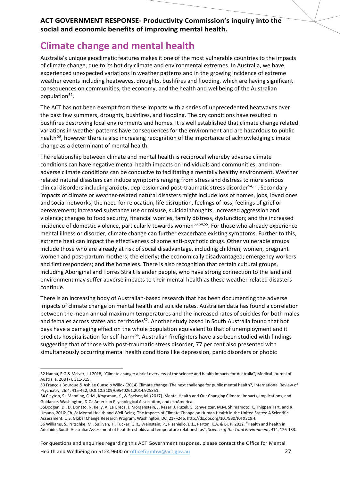## **Climate change and mental health**

Australia's unique geoclimatic features makes it one of the most vulnerable countries to the impacts of climate change, due to its hot dry climate and environmental extremes. In Australia, we have experienced unexpected variations in weather patterns and in the growing incidence of extreme weather events including heatwaves, droughts, bushfires and flooding, which are having significant consequences on communities, the economy, and the health and wellbeing of the Australian population<sup>[52](#page-26-1)</sup>.

<span id="page-26-0"></span>The ACT has not been exempt from these impacts with a series of unprecedented heatwaves over the past few summers, droughts, bushfires, and flooding. The dry conditions have resulted in bushfires destroying local environments and homes. It is well established that climate change related variations in weather patterns have consequences for the environment and are hazardous to public health<sup>[53](#page-26-2)</sup>, however there is also increasing recognition of the importance of acknowledging climate change as a determinant of mental health.

<span id="page-26-6"></span>The relationship between climate and mental health is reciprocal whereby adverse climate conditions can have negative mental health impacts on individuals and communities, and nonadverse climate conditions can be conducive to facilitating a mentally healthy environment. Weather related natural disasters can induce symptoms ranging from stress and distress to more serious clinical disorders including anxiety, depression and post-traumatic stress disorder<sup>[54,](#page-26-3)[55](#page-26-4)</sup>. Secondary impacts of climate or weather-related natural disasters might include loss of homes, jobs, loved ones and social networks; the need for relocation, life disruption, feelings of loss, feelings of grief or bereavement; increased substance use or misuse, suicidal thoughts, increased aggression and violence; changes to food security, financial worries, family distress, dysfunction; and the increased incidence of domestic violence, particularly towards women<sup>53,54,55</sup>. For those who already experience mental illness or disorder, climate change can further exacerbate existing symptoms. Further to this, extreme heat can impact the effectiveness of some anti-psychotic drugs. Other vulnerable groups include those who are already at risk of social disadvantage, including children; women, pregnant women and post-partum mothers; the elderly; the economically disadvantaged; emergency workers and first responders; and the homeless. There is also recognition that certain cultural groups, including Aboriginal and Torres Strait Islander people, who have strong connection to the land and environment may suffer adverse impacts to their mental health as these weather-related disasters continue.

There is an increasing body of Australian-based research that has been documenting the adverse impacts of climate change on mental health and suicide rates. Australian data has found a correlation between the mean annual maximum temperatures and the increased rates of suicides for both males and females across states and territories<sup>52</sup>. Another study based in South Australia found that hot days have a damaging effect on the whole population equivalent to that of unemployment and it predicts hospitalisation for self-harm<sup>[56](#page-26-5)</sup>. Australian firefighters have also been studied with findings suggesting that of those with post-traumatic stress disorder, 77 per cent also presented with simultaneously occurring mental health conditions like depression, panic disorders or phobic

For questions and enquiries regarding this ACT Government response, please contact the Office for Mental

<span id="page-26-1"></span> <sup>52</sup> Hanna, E G & McIver, L J 2018, "Climate change: a brief overview of the science and health impacts for Australia", Medical Journal of Australia, 208 (7), 311-315.

<span id="page-26-2"></span><sup>53</sup> François Bourque & Ashlee Cunsolo Willox (2014) Climate change: The next challenge for public mental health?, International Review of Psychiatry, 26:4, 415-422, DOI:10.3109/09540261.2014.925851.

<span id="page-26-3"></span><sup>54</sup> Clayton, S., Manning, C. M., Krygsman, K., & Speiser, M. (2017). Mental Health and Our Changing Climate: Impacts, Implications, and Guidance. Washington, D.C.: American Psychological Association, and ecoAmerica.

<span id="page-26-4"></span><sup>55</sup>Dodgen, D., D. Donato, N. Kelly, A. La Greca, J. Morganstein, J. Reser, J. Ruzek, S. Schweitzer, M.M. Shimamoto, K. Thigpen Tart, and R. Ursano, 2016: Ch. 8: Mental Health and Well-Being. The Impacts of Climate Change on Human Health in the United States: A Scientific Assessment. U.S. Global Change Research Program, Washington, DC, 217–246. http://dx.doi.org/10.7930/J0TX3C9H.

<span id="page-26-5"></span><sup>56</sup> Williams, S., Nitschke, M., Sullivan, T., Tucker, G.R., Weinstein, P., Pisaniello, D.L., Parton, K.A. & Bi, P. 2012, "Health and health in Adelaide, South Australia: Assessment of heat thresholds and temperature relationships", *Science of the Total Environment*, 414, 126-133.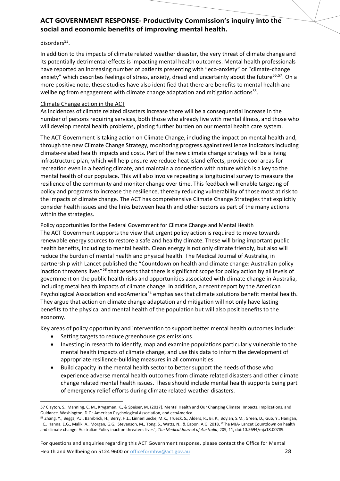#### disorders<sup>55</sup>.

In addition to the impacts of climate related weather disaster, the very threat of climate change and its potentially detrimental effects is impacting mental health outcomes. Mental health professionals have reported an increasing number of patients presenting with "eco-anxiety" or "climate-change anxiety" which describes feelings of stress, anxiety, dread and uncertainty about the future<sup>55,[57](#page-27-0)</sup>. On a more positive note, these studies have also identified that there are benefits to mental health and wellbeing from engagement with climate change adaptation and mitigation actions<sup>55</sup>.

#### Climate Change action in the ACT

As incidences of climate related disasters increase there will be a consequential increase in the number of persons requiring services, both those who already live with mental illness, and those who will develop mental health problems, placing further burden on our mental health care system.

The ACT Government is taking action on Climate Change, including the impact on mental health and, through the new Climate Change Strategy, monitoring progress against resilience indicators including climate-related health impacts and costs. Part of the new climate change strategy will be a living infrastructure plan, which will help ensure we reduce heat island effects, provide cool areas for recreation even in a heating climate, and maintain a connection with nature which is a key to the mental health of our populace. This will also involve repeating a longitudinal survey to measure the resilience of the community and monitor change over time. This feedback will enable targeting of policy and programs to increase the resilience, thereby reducing vulnerability of those most at risk to the impacts of climate change. The ACT has comprehensive Climate Change Strategies that explicitly consider health issues and the links between health and other sectors as part of the many actions within the strategies.

#### Policy opportunities for the Federal Government for Climate Change and Mental Health

The ACT Government supports the view that urgent policy action is required to move towards renewable energy sources to restore a safe and healthy climate. These will bring important public health benefits, including to mental health. Clean energy is not only climate friendly, but also will reduce the burden of mental health and physical health. The Medical Journal of Australia, in partnership with Lancet published the ["Countdown on health and climate change: Australian policy](https://www.mja.com.au/journal/2018/209/11/mja-lancet-countdown-health-and-climate-change-australian-policy-inaction)  [inaction threatens lives"](https://www.mja.com.au/journal/2018/209/11/mja-lancet-countdown-health-and-climate-change-australian-policy-inaction)<sup>[58](#page-27-1)</sup> that asserts that there is significant scope for policy action by all levels of government on the public health risks and opportunities associated with climate change in Australia, including metal health impacts of climate change. In addition, a recent report by the American Psychological Association and ecoAmerica<sup>54</sup> emphasises that climate solutions benefit mental health. They argue that action on climate change adaptation and mitigation will not only have lasting benefits to the physical and mental health of the population but will also posit benefits to the economy.

Key areas of policy opportunity and intervention to support better mental health outcomes include:

- Setting targets to reduce greenhouse gas emissions.
- Investing in research to identify, map and examine populations particularly vulnerable to the mental health impacts of climate change, and use this data to inform the development of appropriate resilience-building measures in all communities.
- Build capacity in the mental health sector to better support the needs of those who experience adverse mental health outcomes from climate related disasters and other climate change related mental health issues. These should include mental health supports being part of emergency relief efforts during climate related weather disasters.

<span id="page-27-0"></span> <sup>57</sup> Clayton, S., Manning, C. M., Krygsman, K., & Speiser, M. (2017). Mental Health and Our Changing Climate: Impacts, Implications, and Guidance. Washington, D.C.: American Psychological Association, and ecoAmerica.

<span id="page-27-1"></span><sup>58</sup> Zhang, Y., Beggs, P.J., Bambrick, H., Berry, H.L., Linnenluecke, M.K., Trueck, S., Alders, R., Bi, P., Boylan, S.M., Green, D., Guo, Y., Hanigan, I.C., Hanna, E.G., Malik, A., Morgan, G.G., Stevenson, M., Tong, S., Watts, N., & Capon, A.G. 2018, "The MJA- Lancet Countdown on health and climate change: Australian Policy inaction threatens lives", *The Medical Journal of Australia*, 209, 11, doi:10.5694/mja18.00789.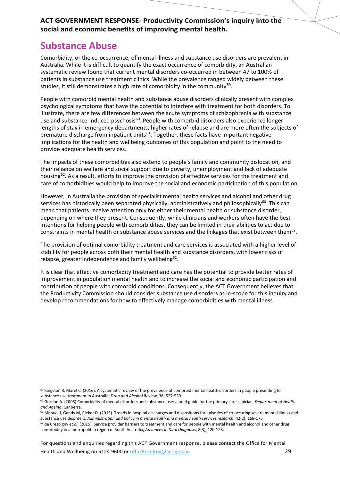### **Substance Abuse**

Comorbidity, or the co-occurrence, of mental illness and substance use disorders are prevalent in Australia. While it is difficult to quantify the exact occurrence of comorbidity, an Australian systematic review found that current mental disorders co-occurred in between 47 to 100% of patients in substance use treatment clinics. While the prevalence ranged widely between these studies, it still demonstrates a high rate of comorbidity in the community<sup>[59](#page-28-2)</sup>.

<span id="page-28-0"></span>People with comorbid mental health and substance abuse disorders clinically present with complex psychological symptoms that have the potential to interfere with treatment for both disorders. To illustrate, there are few differences between the acute symptoms of schizophrenia with substance use and substance-induced psychosis<sup>[60](#page-28-3)</sup>. People with comorbid disorders also experience longer lengths of stay in emergency departments, higher rates of relapse and are more often the subjects of premature discharge from inpatient units<sup>61</sup>. Together, these facts have important negative implications for the health and wellbeing outcomes of this population and point to the need to provide adequate health services.

<span id="page-28-1"></span>The impacts of these comorbidities also extend to people's family and community dislocation, and their reliance on welfare and social support due to poverty, unemployment and lack of adequate housing<sup>62</sup>. As a result, efforts to improve the provision of effective services for the treatment and care of comorbidities would help to improve the social and economic participation of this population.

However, in Australia the provision of specialist mental health services and alcohol and other drug services has historically been separated physically, administratively and philosophically<sup>60</sup>. This can mean that patients receive attention only for either their mental health or substance disorder, depending on where they present. Consequently, while clinicians and workers often have the best intentions for helping people with comorbidities, they can be limited in their abilities to act due to constraints in mental health or substance abuse services and the linkages that exist between them $62$ .

The provision of optimal comorbidity treatment and care services is associated with a higher level of stability for people across both their mental health and substance disorders, with lower risks of relapse, greater independence and family wellbeing<sup>62</sup>.

It is clear that effective comorbidity treatment and care has the potential to provide better rates of improvement in population mental health and to increase the social and economic participation and contribution of people with comorbid conditions. Consequently, the ACT Government believes that the Productivity Commission should consider substance use disorders as in-scope for this inquiry and develop recommendations for how to effectively manage comorbidities with mental illness.

For questions and enquiries regarding this ACT Government response, please contact the Office for Mental

<span id="page-28-2"></span><sup>&</sup>lt;sup>59</sup> Kingston R, Marel C. (2016). A systematic review of the prevalence of comorbid mental health disorders in people presenting for substance use treatment in Australia. *Drug and Alcohol Review*, 36: 527-539.

<span id="page-28-3"></span><sup>60</sup> Gordon A. (2008) Comorbidity of mental disorders and substance use: a brief guide for the primary care clinician. *Department of Health and Ageing*, Canberra.

<span id="page-28-4"></span><sup>&</sup>lt;sup>61</sup> Manuel J, Gandy M, Rieker D. (2015). Trends in hospital discharges and dispositions for episodes of co-occuring severe mental illness and substance use disorders. *Administration and policy in mental health and mental health services research*: 42(2), 168-175.

<span id="page-28-5"></span><sup>&</sup>lt;sup>62</sup> de Crespigny *et al*, (2015). Service provider barriers to treatment and care for people with mental health and alcohol and other drug comorbidity in a metropolitan region of South Australia, *Advances in Dual Diagnosis*, 8(3), 120-128.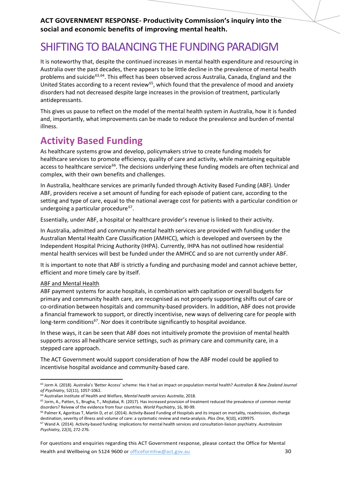## SHIFTING TO BALANCING THE FUNDING PARADIGM

It is noteworthy that, despite the continued increases in mental health expenditure and resourcing in Australia over the past decades, there appears to be little decline in the prevalence of mental health problems and suicide<sup>63,[64](#page-29-2)</sup>. This effect has been observed across Australia, Canada, England and the United States according to a recent review<sup>[65](#page-29-3)</sup>, which found that the prevalence of mood and anxiety disorders had not decreased despite large increases in the provision of treatment, particularly antidepressants.

This gives us pause to reflect on the model of the mental health system in Australia, how it is funded and, importantly, what improvements can be made to reduce the prevalence and burden of mental illness.

## **Activity Based Funding**

As healthcare systems grow and develop, policymakers strive to create funding models for healthcare services to promote efficiency, quality of care and activity, while maintaining equitable access to healthcare service<sup>[66](#page-29-4)</sup>. The decisions underlying these funding models are often technical and complex, with their own benefits and challenges.

In Australia, healthcare services are primarily funded through Activity Based Funding (ABF). Under ABF, providers receive a set amount of funding for each episode of patient care, according to the setting and type of care, equal to the national average cost for patients with a particular condition or undergoing a particular procedure<sup>[67](#page-29-5)</sup>.

<span id="page-29-0"></span>Essentially, under ABF, a hospital or healthcare provider's revenue is linked to their activity.

In Australia, admitted and community mental health services are provided with funding under the Australian Mental Health Care Classification (AMHCC), which is developed and overseen by the Independent Hospital Pricing Authority (IHPA). Currently, IHPA has not outlined how residential mental health services will best be funded under the AMHCC and so are not currently under ABF.

It is important to note that ABF is strictly a funding and purchasing model and cannot achieve better, efficient and more timely care by itself.

#### ABF and Mental Health

ABF payment systems for acute hospitals, in combination with capitation or overall budgets for primary and community health care, are recognised as not properly supporting shifts out of care or co-ordination between hospitals and community-based providers. In addition, ABF does not provide a financial framework to support, or directly incentivise, new ways of delivering care for people with long-term conditions<sup>67</sup>. Nor does it contribute significantly to hospital avoidance.

In these ways, it can be seen that ABF does not intuitively promote the provision of mental health supports across all healthcare service settings, such as primary care and community care, in a stepped care approach.

The ACT Government would support consideration of how the ABF model could be applied to incentivise hospital avoidance and community-based care.

For questions and enquiries regarding this ACT Government response, please contact the Office for Mental Health and Wellbeing on 5124 9600 or [officeformhw@act.gov.au](mailto:officeformhw@act.gov.au) 30

<span id="page-29-1"></span> <sup>63</sup> Jorm A. (2018). Australia's 'Better Access' scheme: Has it had an impact on population mental health? *Australian & New Zealand Journal of Psychiatry*, 52(11), 1057-1062.

<sup>64</sup> Australian Institute of Health and Welfare, *Mental health services Australia*, 2018.

<span id="page-29-3"></span><span id="page-29-2"></span><sup>65</sup> Jorm, A., Patten, S., Brugha, T., Mojtabai, R. (2017). Has increased provision of treatment reduced the prevalence of common mental disorders? Reivew of the evidence from four countries. *World Psychiatry*, 16, 90-99.

<span id="page-29-4"></span><sup>66</sup> Palmer K, Agoritsas T, Martin D, *et al*. (2014). Activity-Based Funding of Hospitals and its impact on mortality, readmission, discharge destination, severity of illness and volume of care: a systematic review and meta-analysis. *Plos One*, 9(10), e109975.

<span id="page-29-5"></span><sup>67</sup> Wand A. (2014). Activity-based funding: implications for mental health services and consultation-liaison psychiatry. *Australasian Psychiatry*, 22(3), 272-276.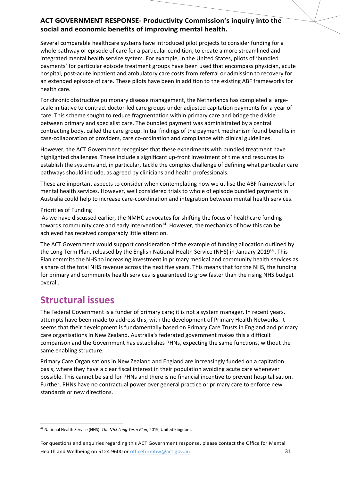Several comparable healthcare systems have introduced pilot projects to consider funding for a whole pathway or episode of care for a particular condition, to create a more streamlined and integrated mental health service system. For example, in the United States, pilots of 'bundled payments' for particular episode treatment groups have been used that encompass physician, acute hospital, post-acute inpatient and ambulatory care costs from referral or admission to recovery for an extended episode of care. These pilots have been in addition to the existing ABF frameworks for health care.

For chronic obstructive pulmonary disease management, the Netherlands has completed a largescale initiative to contract doctor-led care groups under adjusted capitation payments for a year of care. This scheme sought to reduce fragmentation within primary care and bridge the divide between primary and specialist care. The bundled payment was administrated by a central contracting body, called the care group. Initial findings of the payment mechanism found benefits in case-collaboration of providers, care co-ordination and compliance with clinical guidelines.

However, the ACT Government recognises that these experiments with bundled treatment have highlighted challenges. These include a significant up-front investment of time and resources to establish the systems and, in particular, tackle the complex challenge of defining what particular care pathways should include, as agreed by clinicians and health professionals.

These are important aspects to consider when contemplating how we utilise the ABF framework for mental health services. However, well considered trials to whole of episode bundled payments in Australia could help to increase care-coordination and integration between mental health services.

#### Priorities of Funding

As we have discussed earlier, the NMHC advocates for shifting the focus of healthcare funding towards community care and early intervention $14$ . However, the mechanics of how this can be achieved has received comparably little attention.

The ACT Government would support consideration of the example of funding allocation outlined by the Long Term Plan, released by the English National Health Service (NHS) in January 2019<sup>68</sup>. This Plan commits the NHS to increasing investment in primary medical and community health services as a share of the total NHS revenue across the next five years. This means that for the NHS, the funding for primary and community health services is guaranteed to grow faster than the rising NHS budget overall.

### **Structural issues**

The Federal Government is a funder of primary care; it is not a system manager. In recent years, attempts have been made to address this, with the development of Primary Health Networks. It seems that their development is fundamentally based on Primary Care Trusts in England and primary care organisations in New Zealand. Australia's federated government makes this a difficult comparison and the Government has establishes PHNs, expecting the same functions, without the same enabling structure.

Primary Care Organisations in New Zealand and England are increasingly funded on a capitation basis, where they have a clear fiscal interest in their population avoiding acute care whenever possible. This cannot be said for PHNs and there is no financial incentive to prevent hospitalisation. Further, PHNs have no contractual power over general practice or primary care to enforce new standards or new directions.

<span id="page-30-0"></span> <sup>68</sup> National Health Service (NHS). *The NHS Long Term Plan*, 2019, United Kingdom.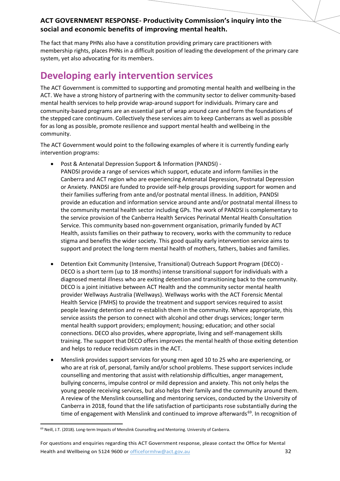The fact that many PHNs also have a constitution providing primary care practitioners with membership rights, places PHNs in a difficult position of leading the development of the primary care system, yet also advocating for its members.

## **Developing early intervention services**

The ACT Government is committed to supporting and promoting mental health and wellbeing in the ACT. We have a strong history of partnering with the community sector to deliver community-based mental health services to help provide wrap-around support for individuals. Primary care and community-based programs are an essential part of wrap around care and form the foundations of the stepped care continuum. Collectively these services aim to keep Canberrans as well as possible for as long as possible, promote resilience and support mental health and wellbeing in the community.

The ACT Government would point to the following examples of where it is currently funding early intervention programs:

- Post & Antenatal Depression Support & Information (PANDSI) PANDSI provide a range of services which support, educate and inform families in the Canberra and ACT region who are experiencing Antenatal Depression, Postnatal Depression or Anxiety. PANDSI are funded to provide self-help groups providing support for women and their families suffering from ante and/or postnatal mental illness. In addition, PANDSI provide an education and information service around ante and/or postnatal mental illness to the community mental health sector including GPs. The work of PANDSI is complementary to the service provision of the Canberra Health Services Perinatal Mental Health Consultation Service. This community based non-government organisation, primarily funded by ACT Health, assists families on their pathway to recovery, works with the community to reduce stigma and benefits the wider society. This good quality early intervention service aims to support and protect the long-term mental health of mothers, fathers, babies and families.
- Detention Exit Community (Intensive, Transitional) Outreach Support Program (DECO) DECO is a short term (up to 18 months) intense transitional support for individuals with a diagnosed mental illness who are exiting detention and transitioning back to the community. DECO is a joint initiative between ACT Health and the community sector mental health provider Wellways Australia (Wellways). Wellways works with the ACT Forensic Mental Health Service (FMHS) to provide the treatment and support services required to assist people leaving detention and re-establish them in the community. Where appropriate, this service assists the person to connect with alcohol and other drugs services; longer term mental health support providers; employment; housing; education; and other social connections. DECO also provides, where appropriate, living and self-management skills training. The support that DECO offers improves the mental health of those exiting detention and helps to reduce recidivism rates in the ACT.
- Menslink provides support services for young men aged 10 to 25 who are experiencing, or who are at risk of, personal, family and/or school problems. These support services include counselling and mentoring that assist with relationship difficulties, anger management, bullying concerns, impulse control or mild depression and anxiety. This not only helps the young people receiving services, but also helps their family and the community around them. A review of the Menslink counselling and mentoring services, conducted by the University of Canberra in 2018, found that the life satisfaction of participants rose substantially during the time of engagement with Menslink and continued to improve afterwards $69$ . In recognition of

<span id="page-31-0"></span> <sup>69</sup> Neill, J.T. (2018). Long-term Impacts of Menslink Counselling and Mentoring. University of Canberra.

For questions and enquiries regarding this ACT Government response, please contact the Office for Mental Health and Wellbeing on 5124 9600 or [officeformhw@act.gov.au](mailto:officeformhw@act.gov.au) 32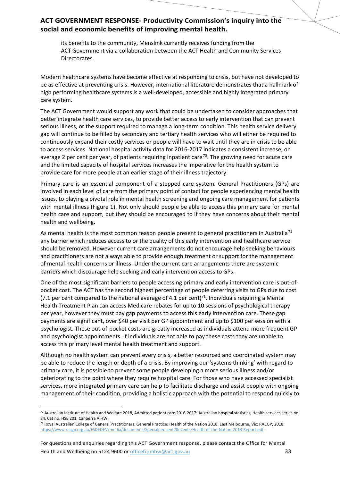its benefits to the community, Menslink currently receives funding from the ACT Government via a collaboration between the ACT Health and Community Services Directorates.

Modern healthcare systems have become effective at responding to crisis, but have not developed to be as effective at preventing crisis. However, international literature demonstrates that a hallmark of high performing healthcare systems is a well-developed, accessible and highly integrated primary care system.

The ACT Government would support any work that could be undertaken to consider approaches that better integrate health care services, to provide better access to early intervention that can prevent serious illness, or the support required to manage a long-term condition. This health service delivery gap will continue to be filled by secondary and tertiary health services who will either be required to continuously expand their costly services or people will have to wait until they are in crisis to be able to access services. National hospital activity data for 2016-2017 indicates a consistent increase, on average 2 per cent per year, of patients requiring inpatient care<sup>70</sup>. The growing need for acute care and the limited capacity of hospital services increases the imperative for the health system to provide care for more people at an earlier stage of their illness trajectory.

Primary care is an essential component of a stepped care system. General Practitioners (GPs) are involved in each level of care from the primary point of contact for people experiencing mental health issues, to playing a pivotal role in mental health screening and ongoing care management for patients with mental illness (Figure 1). Not only should people be able to access this primary care for mental health care and support, but they should be encouraged to if they have concerns about their mental health and wellbeing.

<span id="page-32-0"></span>As mental health is the most common reason people present to general practitioners in Australia<sup>[71](#page-32-2)</sup> any barrier which reduces access to or the quality of this early intervention and healthcare service should be removed. However current care arrangements do not encourage help seeking behaviours and practitioners are not always able to provide enough treatment or support for the management of mental health concerns or illness. Under the current care arrangements there are systemic barriers which discourage help seeking and early intervention access to GPs.

One of the most significant barriers to people accessing primary and early intervention care is out-ofpocket cost. The ACT has the second highest percentage of people deferring visits to GPs due to cost (7.1 per cent compared to the national average of 4.1 per cent)<sup>71</sup>. Individuals requiring a Mental Health Treatment Plan can access Medicare rebates for up to 10 sessions of psychological therapy per year, however they must pay gap payments to access this early intervention care. These gap payments are significant, over \$40 per visit per GP appointment and up to \$100 per session with a psychologist. These out-of-pocket costs are greatly increased as individuals attend more frequent GP and psychologist appointments. If individuals are not able to pay these costs they are unable to access this primary level mental health treatment and support.

Although no health system can prevent every crisis, a better resourced and coordinated system may be able to reduce the length or depth of a crisis. By improving our 'systems thinking' with regard to primary care, it is possible to prevent some people developing a more serious illness and/or deteriorating to the point where they require hospital care. For those who have accessed specialist services, more integrated primary care can help to facilitate discharge and assist people with ongoing management of their condition, providing a holistic approach with the potential to respond quickly to

<span id="page-32-1"></span> $70$  Australian Institute of Health and Welfare 2018, Admitted patient care 2016-2017: Australian hospital statistics, Health services series no. 84, Cat no. HSE 201, Canberra AIHW.

<span id="page-32-2"></span><sup>71</sup> Royal Australian College of General Practitioners, General Practice: Health of the Nation 2018. East Melbourne, Vic: RACGP, 2018. [https://www.racgp.org.au/FSDEDEV/media/documents/Specialper cent20events/Health-of-the-Nation-2018-Report.pdf](https://www.racgp.org.au/FSDEDEV/media/documents/Special%20events/Health-of-the-Nation-2018-Report.pdf) .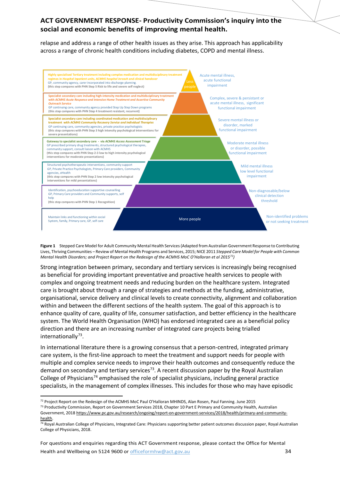relapse and address a range of other health issues as they arise. This approach has applicability across a range of chronic health conditions including diabetes, COPD and mental illness.



**Figure 1** Stepped Care Model for Adult Community Mental Health Services(Adapted from Australian Government Response to Contributing Lives, Thriving Communities – Review of Mental Health Programs and Services, 2015; NICE 2011 *Stepped Care Model for People with Common Mental Health Disorders; and Project Report on the Redesign of the ACMHS MoC O'Halloran et al 2015[72](#page-33-1))*

Strong integration between primary, secondary and tertiary services is increasingly being recognised as beneficial for providing important preventative and proactive health services to people with complex and ongoing treatment needs and reducing burden on the healthcare system. Integrated care is brought about through a range of strategies and methods at the funding, administrative, organisational, service delivery and clinical levels to create connectivity, alignment and collaboration within and between the different sections of the health system. The goal of this approach is to enhance quality of care, quality of life, consumer satisfaction, and better efficiency in the healthcare system. The World Health Organisation (WHO) has endorsed integrated care as a beneficial policy direction and there are an increasing number of integrated care projects being trialled internationally $73$ .

<span id="page-33-0"></span>In international literature there is a growing consensus that a person-centred, integrated primary care system, is the first-line approach to meet the treatment and support needs for people with multiple and complex service needs to improve their health outcomes and consequently reduce the demand on secondary and tertiary services<sup>73</sup>. A recent discussion paper by the Royal Australian College of Physicians<sup>[74](#page-33-3)</sup> emphasised the role of specialist physicians, including general practice specialists, in the management of complex illnesses. This includes for those who may have episodic

 <sup>72</sup> Project Report on the Redesign of the ACMHS MoC Paul O'Halloran MHINDS, Alan Rosen, Paul Fanning. June 2015

<span id="page-33-2"></span><span id="page-33-1"></span><sup>73</sup> Productivity Commission, Report on Government Services 2018, Chapter 10 Part E Primary and Community Health, Australian Government, 2018 [https://www.pc.gov.au/research/ongoing/report-on-government-services/2018/health/primary-and-community-](https://www.pc.gov.au/research/ongoing/report-on-government-services/2018/health/primary-and-community-health)

<span id="page-33-3"></span>[health.](https://www.pc.gov.au/research/ongoing/report-on-government-services/2018/health/primary-and-community-health) <sup>74</sup> Royal Australian College of Physicians, Integrated Care: Physicians supporting better patient outcomes discussion paper, Royal Australian

College of Physicians, 2018.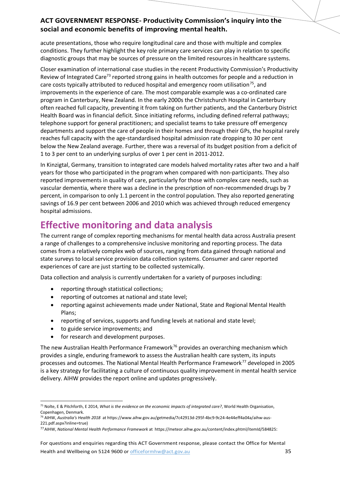acute presentations, those who require longitudinal care and those with multiple and complex conditions. They further highlight the key role primary care services can play in relation to specific diagnostic groups that may be sources of pressure on the limited resources in healthcare systems.

Closer examination of international case studies in the recent Productivity Commission's Productivity Review of Integrated Care<sup>73</sup> reported strong gains in health outcomes for people and a reduction in care costs typically attributed to reduced hospital and emergency room utilisation<sup>75</sup>, and improvements in the experience of care. The most comparable example was a co-ordinated care program in Canterbury, New Zealand. In the early 2000s the Christchurch Hospital in Canterbury often reached full capacity, preventing it from taking on further patients, and the Canterbury District Health Board was in financial deficit. Since initiating reforms, including defined referral pathways; telephone support for general practitioners; and specialist teams to take pressure off emergency departments and support the care of people in their homes and through their GPs, the hospital rarely reaches full capacity with the age-standardised hospital admission rate dropping to 30 per cent below the New Zealand average. Further, there was a reversal of its budget position from a deficit of 1 to 3 per cent to an underlying surplus of over 1 per cent in 2011-2012.

In Kinzigtal, Germany, transition to integrated care models halved mortality rates after two and a half years for those who participated in the program when compared with non-participants. They also reported improvements in quality of care, particularly for those with complex care needs, such as vascular dementia, where there was a decline in the prescription of non-recommended drugs by 7 percent, in comparison to only 1.1 percent in the control population. They also reported generating savings of 16.9 per cent between 2006 and 2010 which was achieved through reduced emergency hospital admissions.

## **Effective monitoring and data analysis**

The current range of complex reporting mechanisms for mental health data across Australia present a range of challenges to a comprehensive inclusive monitoring and reporting process. The data comes from a relatively complex web of sources, ranging from data gained through national and state surveys to local service provision data collection systems. Consumer and carer reported experiences of care are just starting to be collected systemically.

Data collection and analysis is currently undertaken for a variety of purposes including:

- reporting through statistical collections;
- reporting of outcomes at national and state level;
- reporting against achievements made under National, State and Regional Mental Health Plans;
- reporting of services, supports and funding levels at national and state level;
- to guide service improvements; and
- for research and development purposes.

The new Australian Health Performance Framework<sup>[76](#page-34-1)</sup> provides an overarching mechanism which provides a single, enduring framework to assess the Australian health care system, its inputs processes and outcomes. The National Mental Health Performance Framework<sup>[77](#page-34-2)</sup> developed in 2005 is a key strategy for facilitating a culture of continuous quality improvement in mental health service delivery. AIHW provides the report online and updates progressively.

<span id="page-34-0"></span> <sup>75</sup> Nolte, E & Pitchforth, E 2014, *What is the evidence on the economic impacts of integrated care?*, World Health Organisation, Copenhagen, Denmark.

<span id="page-34-1"></span><sup>76</sup> AIHW, *Australia's Health 2018* a[t https://www.aihw.gov.au/getmedia/7c42913d-295f-4bc9-9c24-4e44eff4a04a/aihw-aus-](https://www.aihw.gov.au/getmedia/7c42913d-295f-4bc9-9c24-4e44eff4a04a/aihw-aus-221.pdf.aspx?inline=true)[221.pdf.aspx?inline=true\)](https://www.aihw.gov.au/getmedia/7c42913d-295f-4bc9-9c24-4e44eff4a04a/aihw-aus-221.pdf.aspx?inline=true)

<span id="page-34-2"></span><sup>77</sup>AIHW, *National Mental Health Performance Framework* at [https://meteor.aihw.gov.au/content/index.phtml/itemId/584825:](https://meteor.aihw.gov.au/content/index.phtml/itemId/584825)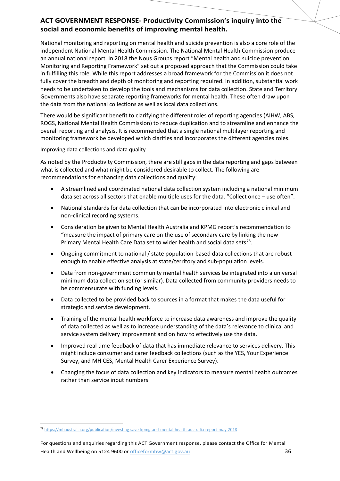National monitoring and reporting on mental health and suicide prevention is also a core role of the independent National Mental Health Commission. The National Mental Health Commission produce an annual national report. In 2018 the Nous Groups report "Mental health and suicide prevention Monitoring and Reporting Framework" set out a proposed approach that the Commission could take in fulfilling this role. While this report addresses a broad framework for the Commission it does not fully cover the breadth and depth of monitoring and reporting required. In addition, substantial work needs to be undertaken to develop the tools and mechanisms for data collection. State and Territory Governments also have separate reporting frameworks for mental health. These often draw upon the data from the national collections as well as local data collections.

There would be significant benefit to clarifying the different roles of reporting agencies (AIHW, ABS, ROGS, National Mental Health Commission) to reduce duplication and to streamline and enhance the overall reporting and analysis. It is recommended that a single national multilayer reporting and monitoring framework be developed which clarifies and incorporates the different agencies roles.

#### Improving data collections and data quality

As noted by the Productivity Commission, there are still gaps in the data reporting and gaps between what is collected and what might be considered desirable to collect. The following are recommendations for enhancing data collections and quality:

- A streamlined and coordinated national data collection system including a national minimum data set across all sectors that enable multiple uses for the data. "Collect once – use often".
- National standards for data collection that can be incorporated into electronic clinical and non-clinical recording systems.
- Consideration be given to Mental Health Australia and KPMG report's recommendation to "measure the impact of primary care on the use of secondary care by linking the new Primary Mental Health Care Data set to wider health and social data sets<sup>[78](#page-35-0)</sup>.
- Ongoing commitment to national / state population-based data collections that are robust enough to enable effective analysis at state/territory and sub-population levels.
- Data from non-government community mental health services be integrated into a universal minimum data collection set (or similar). Data collected from community providers needs to be commensurate with funding levels.
- Data collected to be provided back to sources in a format that makes the data useful for strategic and service development.
- Training of the mental health workforce to increase data awareness and improve the quality of data collected as well as to increase understanding of the data's relevance to clinical and service system delivery improvement and on how to effectively use the data.
- Improved real time feedback of data that has immediate relevance to services delivery. This might include consumer and carer feedback collections (such as the YES, Your Experience Survey, and MH CES, Mental Health Carer Experience Survey).
- Changing the focus of data collection and key indicators to measure mental health outcomes rather than service input numbers.

<span id="page-35-0"></span> <sup>78</sup> <https://mhaustralia.org/publication/investing-save-kpmg-and-mental-health-australia-report-may-2018>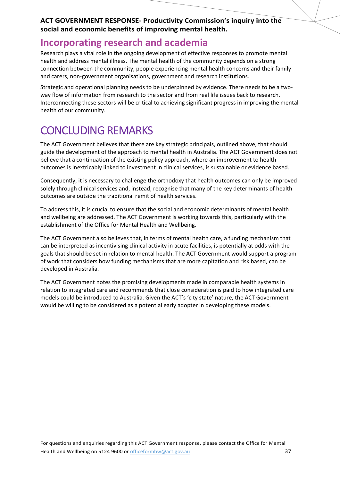### **Incorporating research and academia**

Research plays a vital role in the ongoing development of effective responses to promote mental health and address mental illness. The mental health of the community depends on a strong connection between the community, people experiencing mental health concerns and their family and carers, non-government organisations, government and research institutions.

Strategic and operational planning needs to be underpinned by evidence. There needs to be a twoway flow of information from research to the sector and from real life issues back to research. Interconnecting these sectors will be critical to achieving significant progress in improving the mental health of our community.

## CONCLUDING REMARKS

The ACT Government believes that there are key strategic principals, outlined above, that should guide the development of the approach to mental health in Australia. The ACT Government does not believe that a continuation of the existing policy approach, where an improvement to health outcomes is inextricably linked to investment in clinical services, is sustainable or evidence based.

Consequently, it is necessary to challenge the orthodoxy that health outcomes can only be improved solely through clinical services and, instead, recognise that many of the key determinants of health outcomes are outside the traditional remit of health services.

To address this, it is crucial to ensure that the social and economic determinants of mental health and wellbeing are addressed. The ACT Government is working towards this, particularly with the establishment of the Office for Mental Health and Wellbeing.

The ACT Government also believes that, in terms of mental health care, a funding mechanism that can be interpreted as incentivising clinical activity in acute facilities, is potentially at odds with the goals that should be set in relation to mental health. The ACT Government would support a program of work that considers how funding mechanisms that are more capitation and risk based, can be developed in Australia.

The ACT Government notes the promising developments made in comparable health systems in relation to integrated care and recommends that close consideration is paid to how integrated care models could be introduced to Australia. Given the ACT's 'city state' nature, the ACT Government would be willing to be considered as a potential early adopter in developing these models.